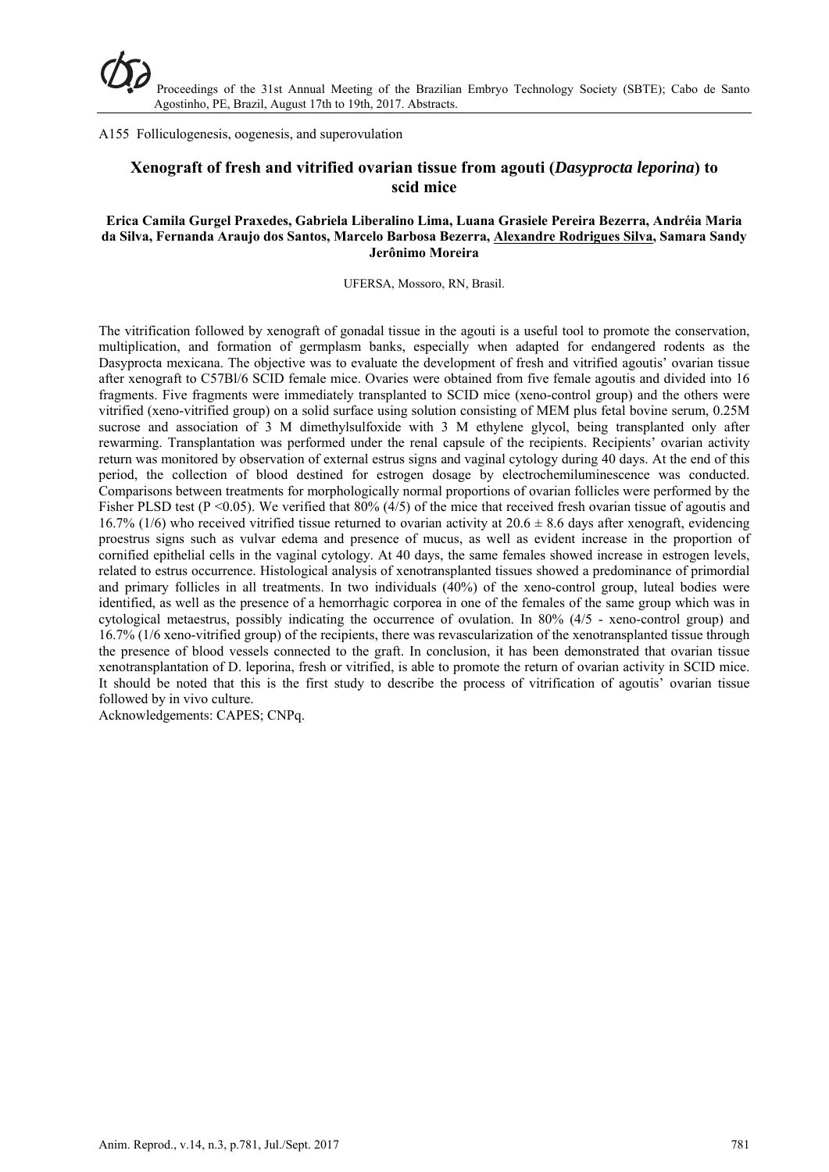### A155 Folliculogenesis, oogenesis, and superovulation

# **Xenograft of fresh and vitrified ovarian tissue from agouti (***Dasyprocta leporina***) to scid mice**

#### **Erica Camila Gurgel Praxedes, Gabriela Liberalino Lima, Luana Grasiele Pereira Bezerra, Andréia Maria da Silva, Fernanda Araujo dos Santos, Marcelo Barbosa Bezerra, Alexandre Rodrigues Silva, Samara Sandy Jerônimo Moreira**

UFERSA, Mossoro, RN, Brasil.

The vitrification followed by xenograft of gonadal tissue in the agouti is a useful tool to promote the conservation, multiplication, and formation of germplasm banks, especially when adapted for endangered rodents as the Dasyprocta mexicana. The objective was to evaluate the development of fresh and vitrified agoutis' ovarian tissue after xenograft to C57Bl/6 SCID female mice. Ovaries were obtained from five female agoutis and divided into 16 fragments. Five fragments were immediately transplanted to SCID mice (xeno-control group) and the others were vitrified (xeno-vitrified group) on a solid surface using solution consisting of MEM plus fetal bovine serum, 0.25M sucrose and association of 3 M dimethylsulfoxide with 3 M ethylene glycol, being transplanted only after rewarming. Transplantation was performed under the renal capsule of the recipients. Recipients' ovarian activity return was monitored by observation of external estrus signs and vaginal cytology during 40 days. At the end of this period, the collection of blood destined for estrogen dosage by electrochemiluminescence was conducted. Comparisons between treatments for morphologically normal proportions of ovarian follicles were performed by the Fisher PLSD test (P <0.05). We verified that 80% (4/5) of the mice that received fresh ovarian tissue of agoutis and 16.7% (1/6) who received vitrified tissue returned to ovarian activity at  $20.6 \pm 8.6$  days after xenograft, evidencing proestrus signs such as vulvar edema and presence of mucus, as well as evident increase in the proportion of cornified epithelial cells in the vaginal cytology. At 40 days, the same females showed increase in estrogen levels, related to estrus occurrence. Histological analysis of xenotransplanted tissues showed a predominance of primordial and primary follicles in all treatments. In two individuals (40%) of the xeno-control group, luteal bodies were identified, as well as the presence of a hemorrhagic corporea in one of the females of the same group which was in cytological metaestrus, possibly indicating the occurrence of ovulation. In 80% (4/5 - xeno-control group) and 16.7% (1/6 xeno-vitrified group) of the recipients, there was revascularization of the xenotransplanted tissue through the presence of blood vessels connected to the graft. In conclusion, it has been demonstrated that ovarian tissue xenotransplantation of D. leporina, fresh or vitrified, is able to promote the return of ovarian activity in SCID mice. It should be noted that this is the first study to describe the process of vitrification of agoutis' ovarian tissue followed by in vivo culture.

Acknowledgements: CAPES; CNPq.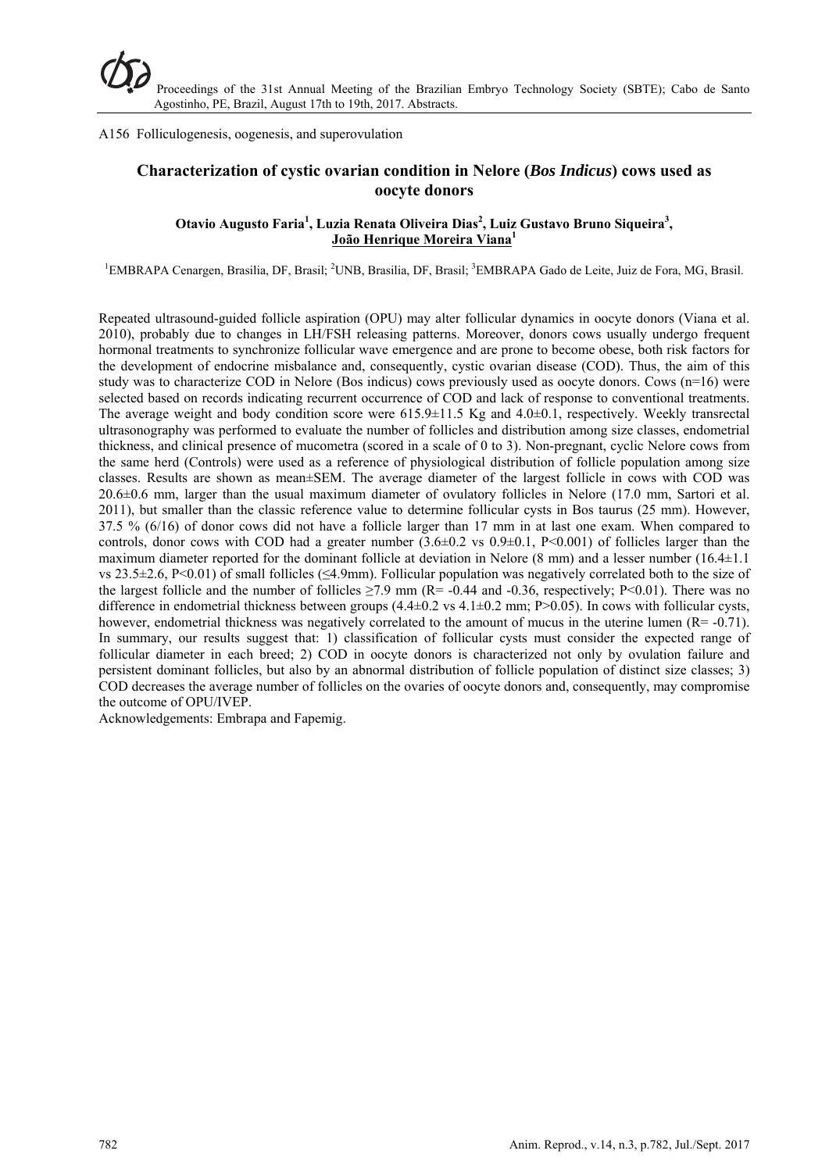A156 Folliculogenesis, oogenesis, and superovulation

# **Characterization of cystic ovarian condition in Nelore (***Bos Indicus***) cows used as oocyte donors**

## **Otavio Augusto Faria<sup>1</sup> , Luzia Renata Oliveira Dias<sup>2</sup> , Luiz Gustavo Bruno Siqueira3 , João Henrique Moreira Viana<sup>1</sup>**

<sup>1</sup>EMBRAPA Cenargen, Brasilia, DF, Brasil; <sup>2</sup>UNB, Brasilia, DF, Brasil; <sup>3</sup>EMBRAPA Gado de Leite, Juiz de Fora, MG, Brasil.

Repeated ultrasound-guided follicle aspiration (OPU) may alter follicular dynamics in oocyte donors (Viana et al. 2010), probably due to changes in LH/FSH releasing patterns. Moreover, donors cows usually undergo frequent hormonal treatments to synchronize follicular wave emergence and are prone to become obese, both risk factors for the development of endocrine misbalance and, consequently, cystic ovarian disease (COD). Thus, the aim of this study was to characterize COD in Nelore (Bos indicus) cows previously used as oocyte donors. Cows (n=16) were selected based on records indicating recurrent occurrence of COD and lack of response to conventional treatments. The average weight and body condition score were 615.9±11.5 Kg and 4.0±0.1, respectively. Weekly transrectal ultrasonography was performed to evaluate the number of follicles and distribution among size classes, endometrial thickness, and clinical presence of mucometra (scored in a scale of 0 to 3). Non-pregnant, cyclic Nelore cows from the same herd (Controls) were used as a reference of physiological distribution of follicle population among size classes. Results are shown as mean±SEM. The average diameter of the largest follicle in cows with COD was 20.6±0.6 mm, larger than the usual maximum diameter of ovulatory follicles in Nelore (17.0 mm, Sartori et al. 2011), but smaller than the classic reference value to determine follicular cysts in Bos taurus (25 mm). However, 37.5 % (6/16) of donor cows did not have a follicle larger than 17 mm in at last one exam. When compared to controls, donor cows with COD had a greater number  $(3.6\pm0.2 \text{ vs } 0.9\pm0.1, \text{ P}<0.001)$  of follicles larger than the maximum diameter reported for the dominant follicle at deviation in Nelore (8 mm) and a lesser number (16.4±1.1 vs 23.5 $\pm$ 2.6, P<0.01) of small follicles ( $\leq$ 4.9mm). Follicular population was negatively correlated both to the size of the largest follicle and the number of follicles  $\geq$ 7.9 mm (R= -0.44 and -0.36, respectively; P<0.01). There was no difference in endometrial thickness between groups  $(4.4\pm 0.2 \text{ vs } 4.1\pm 0.2 \text{ mm}; P>0.05)$ . In cows with follicular cysts, however, endometrial thickness was negatively correlated to the amount of mucus in the uterine lumen  $(R=0.71)$ . In summary, our results suggest that: 1) classification of follicular cysts must consider the expected range of follicular diameter in each breed; 2) COD in oocyte donors is characterized not only by ovulation failure and persistent dominant follicles, but also by an abnormal distribution of follicle population of distinct size classes; 3) COD decreases the average number of follicles on the ovaries of oocyte donors and, consequently, may compromise the outcome of OPU/IVEP.

Acknowledgements: Embrapa and Fapemig.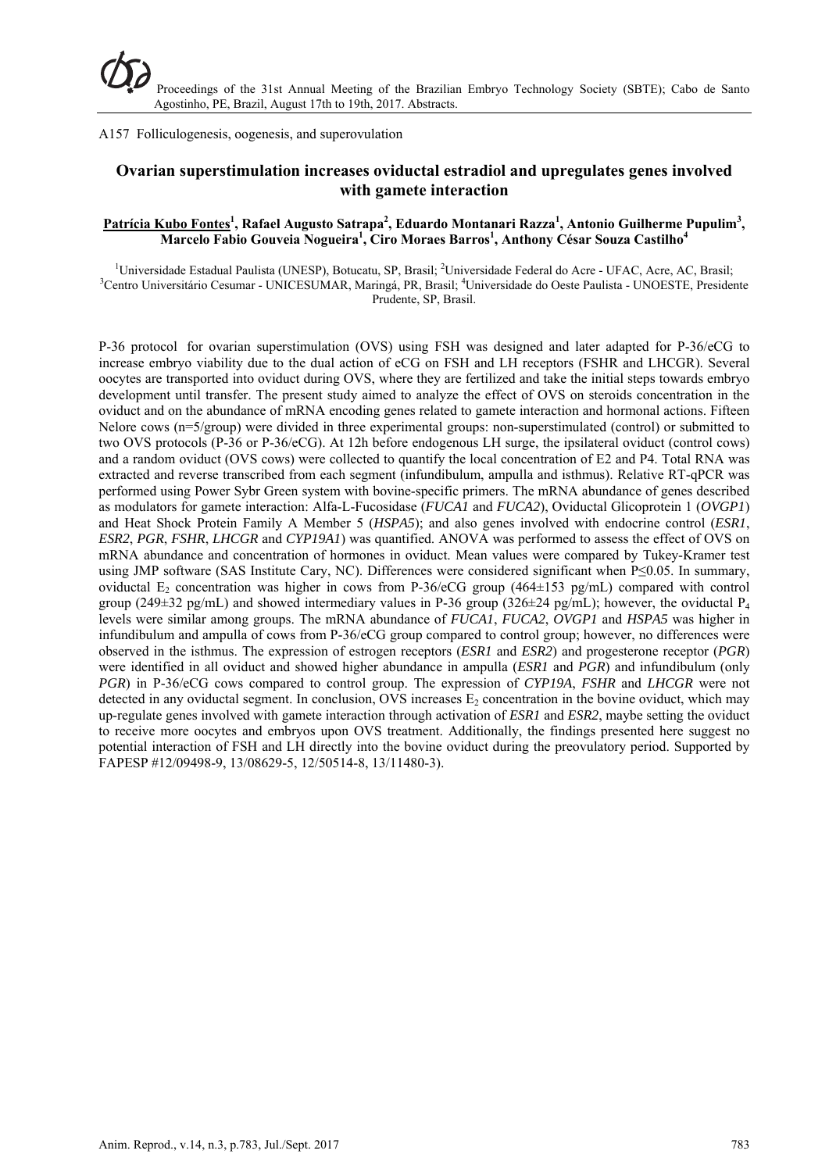A157 Folliculogenesis, oogenesis, and superovulation

# **Ovarian superstimulation increases oviductal estradiol and upregulates genes involved with gamete interaction**

### **Patrícia Kubo Fontes1 , Rafael Augusto Satrapa<sup>2</sup> , Eduardo Montanari Razza<sup>1</sup> , Antonio Guilherme Pupulim<sup>3</sup> , Marcelo Fabio Gouveia Nogueira<sup>1</sup> , Ciro Moraes Barros1 , Anthony César Souza Castilho<sup>4</sup>**

<sup>1</sup>Universidade Estadual Paulista (UNESP), Botucatu, SP, Brasil; <sup>2</sup>Universidade Federal do Acre - UFAC, Acre, AC, Brasil; <sup>3</sup>Contra Universidade Costa Paulista UNOESTE, Prosident Centro Universitário Cesumar - UNICESUMAR, Maringá, PR, Brasil; <sup>4</sup>Universidade do Oeste Paulista - UNOESTE, Presidente Prudente, SP, Brasil.

P-36 protocol for ovarian superstimulation (OVS) using FSH was designed and later adapted for P-36/eCG to increase embryo viability due to the dual action of eCG on FSH and LH receptors (FSHR and LHCGR). Several oocytes are transported into oviduct during OVS, where they are fertilized and take the initial steps towards embryo development until transfer. The present study aimed to analyze the effect of OVS on steroids concentration in the oviduct and on the abundance of mRNA encoding genes related to gamete interaction and hormonal actions. Fifteen Nelore cows (n=5/group) were divided in three experimental groups: non-superstimulated (control) or submitted to two OVS protocols (P-36 or P-36/eCG). At 12h before endogenous LH surge, the ipsilateral oviduct (control cows) and a random oviduct (OVS cows) were collected to quantify the local concentration of E2 and P4. Total RNA was extracted and reverse transcribed from each segment (infundibulum, ampulla and isthmus). Relative RT-qPCR was performed using Power Sybr Green system with bovine-specific primers. The mRNA abundance of genes described as modulators for gamete interaction: Alfa-L-Fucosidase (*FUCA1* and *FUCA2*), Oviductal Glicoprotein 1 (*OVGP1*) and Heat Shock Protein Family A Member 5 (*HSPA5*); and also genes involved with endocrine control (*ESR1*, *ESR2*, *PGR*, *FSHR*, *LHCGR* and *CYP19A1*) was quantified. ANOVA was performed to assess the effect of OVS on mRNA abundance and concentration of hormones in oviduct. Mean values were compared by Tukey-Kramer test using JMP software (SAS Institute Cary, NC). Differences were considered significant when P≤0.05. In summary, oviductal  $E_2$  concentration was higher in cows from P-36/eCG group (464±153 pg/mL) compared with control group (249±32 pg/mL) and showed intermediary values in P-36 group (326±24 pg/mL); however, the oviductal  $P_4$ levels were similar among groups. The mRNA abundance of *FUCA1*, *FUCA2*, *OVGP1* and *HSPA5* was higher in infundibulum and ampulla of cows from P-36/eCG group compared to control group; however, no differences were observed in the isthmus. The expression of estrogen receptors (*ESR1* and *ESR2*) and progesterone receptor (*PGR*) were identified in all oviduct and showed higher abundance in ampulla (*ESR1* and *PGR*) and infundibulum (only *PGR*) in P-36/eCG cows compared to control group. The expression of *CYP19A*, *FSHR* and *LHCGR* were not detected in any oviductal segment. In conclusion, OVS increases  $E<sub>2</sub>$  concentration in the bovine oviduct, which may up-regulate genes involved with gamete interaction through activation of *ESR1* and *ESR2*, maybe setting the oviduct to receive more oocytes and embryos upon OVS treatment. Additionally, the findings presented here suggest no potential interaction of FSH and LH directly into the bovine oviduct during the preovulatory period. Supported by FAPESP #12/09498-9, 13/08629-5, 12/50514-8, 13/11480-3).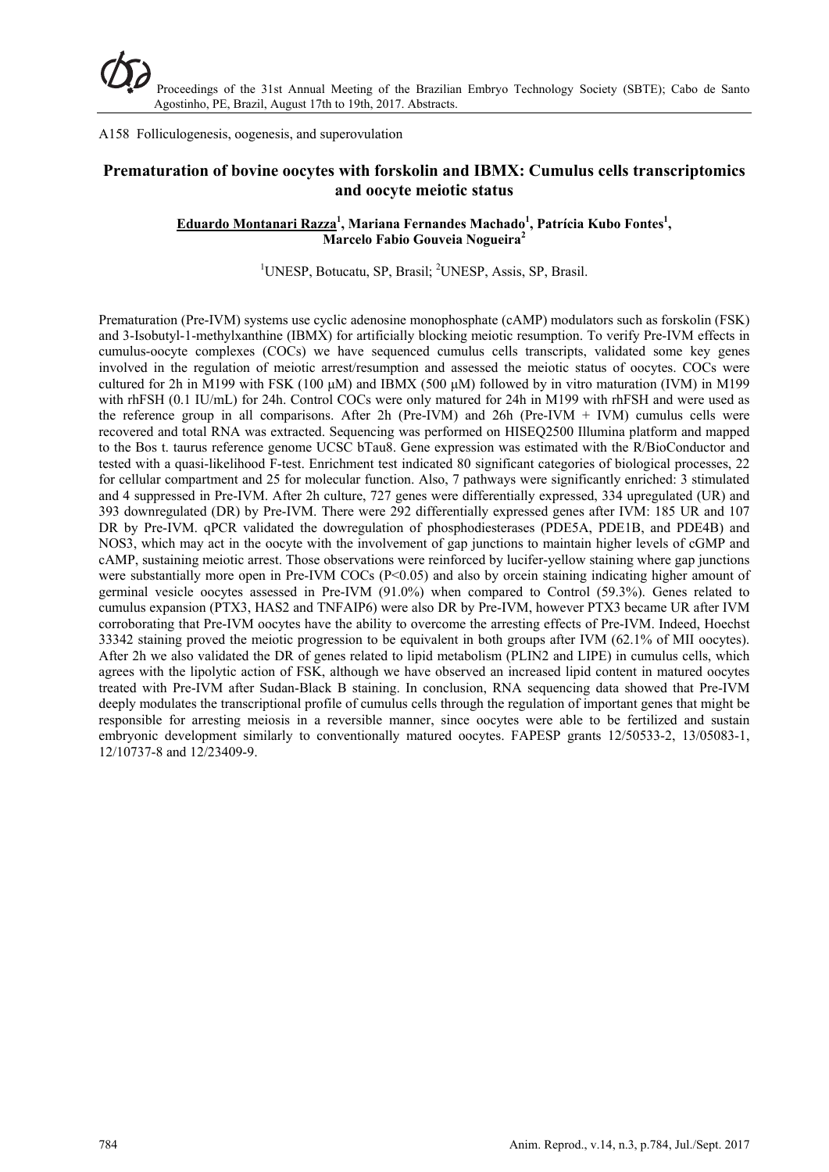A158 Folliculogenesis, oogenesis, and superovulation

## **Prematuration of bovine oocytes with forskolin and IBMX: Cumulus cells transcriptomics and oocyte meiotic status**

### **Eduardo Montanari Razza<sup>1</sup> , Mariana Fernandes Machado<sup>1</sup> , Patrícia Kubo Fontes1 , Marcelo Fabio Gouveia Nogueira<sup>2</sup>**

## <sup>1</sup>UNESP, Botucatu, SP, Brasil; <sup>2</sup>UNESP, Assis, SP, Brasil.

Prematuration (Pre-IVM) systems use cyclic adenosine monophosphate (cAMP) modulators such as forskolin (FSK) and 3-Isobutyl-1-methylxanthine (IBMX) for artificially blocking meiotic resumption. To verify Pre-IVM effects in cumulus-oocyte complexes (COCs) we have sequenced cumulus cells transcripts, validated some key genes involved in the regulation of meiotic arrest/resumption and assessed the meiotic status of oocytes. COCs were cultured for 2h in M199 with FSK (100 μM) and IBMX (500 μM) followed by in vitro maturation (IVM) in M199 with rhFSH (0.1 IU/mL) for 24h. Control COCs were only matured for 24h in M199 with rhFSH and were used as the reference group in all comparisons. After 2h (Pre-IVM) and 26h (Pre-IVM + IVM) cumulus cells were recovered and total RNA was extracted. Sequencing was performed on HISEQ2500 Illumina platform and mapped to the Bos t. taurus reference genome UCSC bTau8. Gene expression was estimated with the R/BioConductor and tested with a quasi-likelihood F-test. Enrichment test indicated 80 significant categories of biological processes, 22 for cellular compartment and 25 for molecular function. Also, 7 pathways were significantly enriched: 3 stimulated and 4 suppressed in Pre-IVM. After 2h culture, 727 genes were differentially expressed, 334 upregulated (UR) and 393 downregulated (DR) by Pre-IVM. There were 292 differentially expressed genes after IVM: 185 UR and 107 DR by Pre-IVM. qPCR validated the dowregulation of phosphodiesterases (PDE5A, PDE1B, and PDE4B) and NOS3, which may act in the oocyte with the involvement of gap junctions to maintain higher levels of cGMP and cAMP, sustaining meiotic arrest. Those observations were reinforced by lucifer-yellow staining where gap junctions were substantially more open in Pre-IVM COCs  $(P<0.05)$  and also by orcein staining indicating higher amount of germinal vesicle oocytes assessed in Pre-IVM (91.0%) when compared to Control (59.3%). Genes related to cumulus expansion (PTX3, HAS2 and TNFAIP6) were also DR by Pre-IVM, however PTX3 became UR after IVM corroborating that Pre-IVM oocytes have the ability to overcome the arresting effects of Pre-IVM. Indeed, Hoechst 33342 staining proved the meiotic progression to be equivalent in both groups after IVM (62.1% of MII oocytes). After 2h we also validated the DR of genes related to lipid metabolism (PLIN2 and LIPE) in cumulus cells, which agrees with the lipolytic action of FSK, although we have observed an increased lipid content in matured oocytes treated with Pre-IVM after Sudan-Black B staining. In conclusion, RNA sequencing data showed that Pre-IVM deeply modulates the transcriptional profile of cumulus cells through the regulation of important genes that might be responsible for arresting meiosis in a reversible manner, since oocytes were able to be fertilized and sustain embryonic development similarly to conventionally matured oocytes. FAPESP grants 12/50533-2, 13/05083-1, 12/10737-8 and 12/23409-9.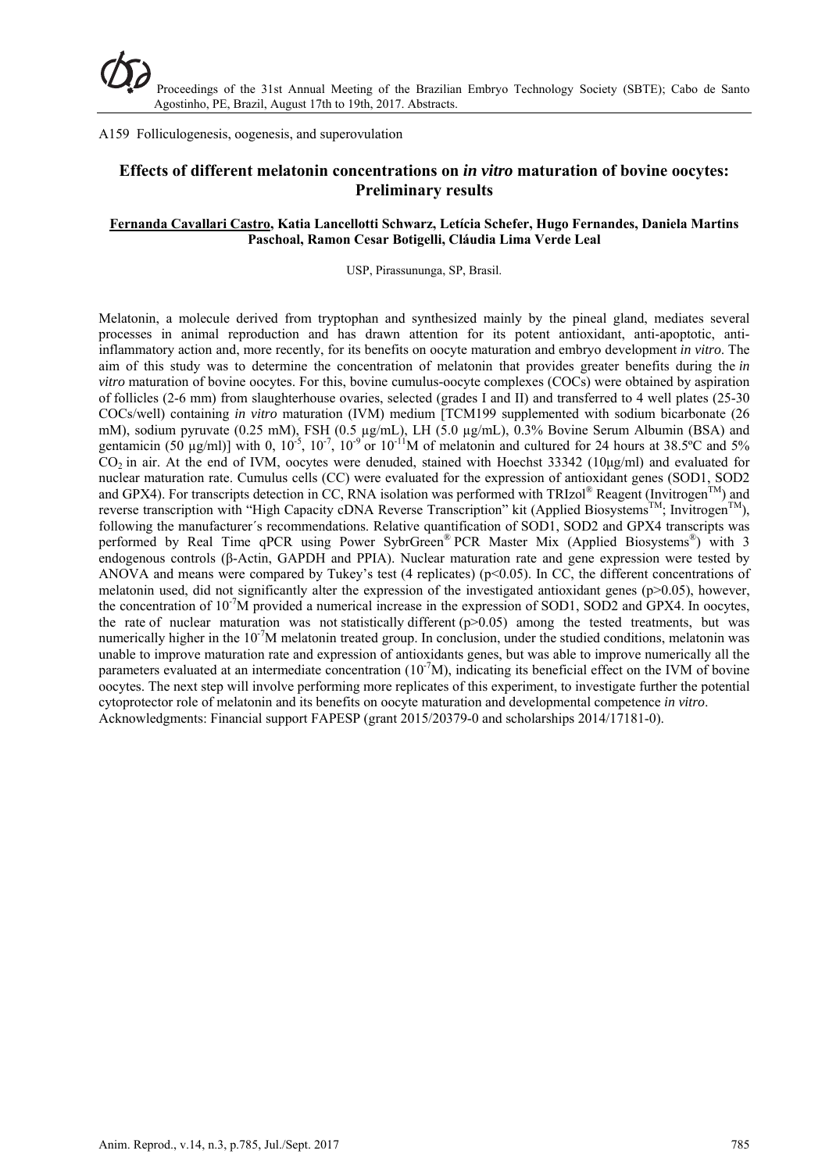A159 Folliculogenesis, oogenesis, and superovulation

# **Effects of different melatonin concentrations on** *in vitro* **maturation of bovine oocytes: Preliminary results**

### **Fernanda Cavallari Castro, Katia Lancellotti Schwarz, Letícia Schefer, Hugo Fernandes, Daniela Martins Paschoal, Ramon Cesar Botigelli, Cláudia Lima Verde Leal**

USP, Pirassununga, SP, Brasil.

Melatonin, a molecule derived from tryptophan and synthesized mainly by the pineal gland, mediates several processes in animal reproduction and has drawn attention for its potent antioxidant, anti-apoptotic, antiinflammatory action and, more recently, for its benefits on oocyte maturation and embryo development *in vitro*. The aim of this study was to determine the concentration of melatonin that provides greater benefits during the *in vitro* maturation of bovine oocytes. For this, bovine cumulus-oocyte complexes (COCs) were obtained by aspiration of follicles (2-6 mm) from slaughterhouse ovaries, selected (grades I and II) and transferred to 4 well plates (25-30 COCs/well) containing *in vitro* maturation (IVM) medium [TCM199 supplemented with sodium bicarbonate (26 mM), sodium pyruvate (0.25 mM), FSH (0.5 µg/mL), LH (5.0 µg/mL), 0.3% Bovine Serum Albumin (BSA) and gentamicin (50  $\mu$ g/ml)] with 0, 10<sup>-5</sup>, 10<sup>-7</sup>, 10<sup>-9</sup> or 10<sup>-11</sup>M of melatonin and cultured for 24 hours at 38.5°C and 5%  $CO<sub>2</sub>$  in air. At the end of IVM, oocytes were denuded, stained with Hoechst 33342 (10μg/ml) and evaluated for nuclear maturation rate. Cumulus cells (CC) were evaluated for the expression of antioxidant genes (SOD1, SOD2 and GPX4). For transcripts detection in CC, RNA isolation was performed with TRIzol® Reagent (Invitrogen<sup>TM</sup>) and reverse transcription with "High Capacity cDNA Reverse Transcription" kit (Applied Biosystems™; Invitrogen™), following the manufacturer's recommendations. Relative quantification of SOD1, SOD2 and GPX4 transcripts was performed by Real Time qPCR using Power SybrGreen® PCR Master Mix (Applied Biosystems®) with 3 endogenous controls (β-Actin, GAPDH and PPIA). Nuclear maturation rate and gene expression were tested by ANOVA and means were compared by Tukey's test (4 replicates) ( $p<0.05$ ). In CC, the different concentrations of melatonin used, did not significantly alter the expression of the investigated antioxidant genes ( $p > 0.05$ ), however, the concentration of 10-7M provided a numerical increase in the expression of SOD1, SOD2 and GPX4. In oocytes, the rate of nuclear maturation was not statistically different  $(p>0.05)$  among the tested treatments, but was numerically higher in the 10<sup>-7</sup>M melatonin treated group. In conclusion, under the studied conditions, melatonin was unable to improve maturation rate and expression of antioxidants genes, but was able to improve numerically all the parameters evaluated at an intermediate concentration  $(10^7M)$ , indicating its beneficial effect on the IVM of bovine oocytes. The next step will involve performing more replicates of this experiment, to investigate further the potential cytoprotector role of melatonin and its benefits on oocyte maturation and developmental competence *in vitro*. Acknowledgments: Financial support FAPESP (grant 2015/20379-0 and scholarships 2014/17181-0).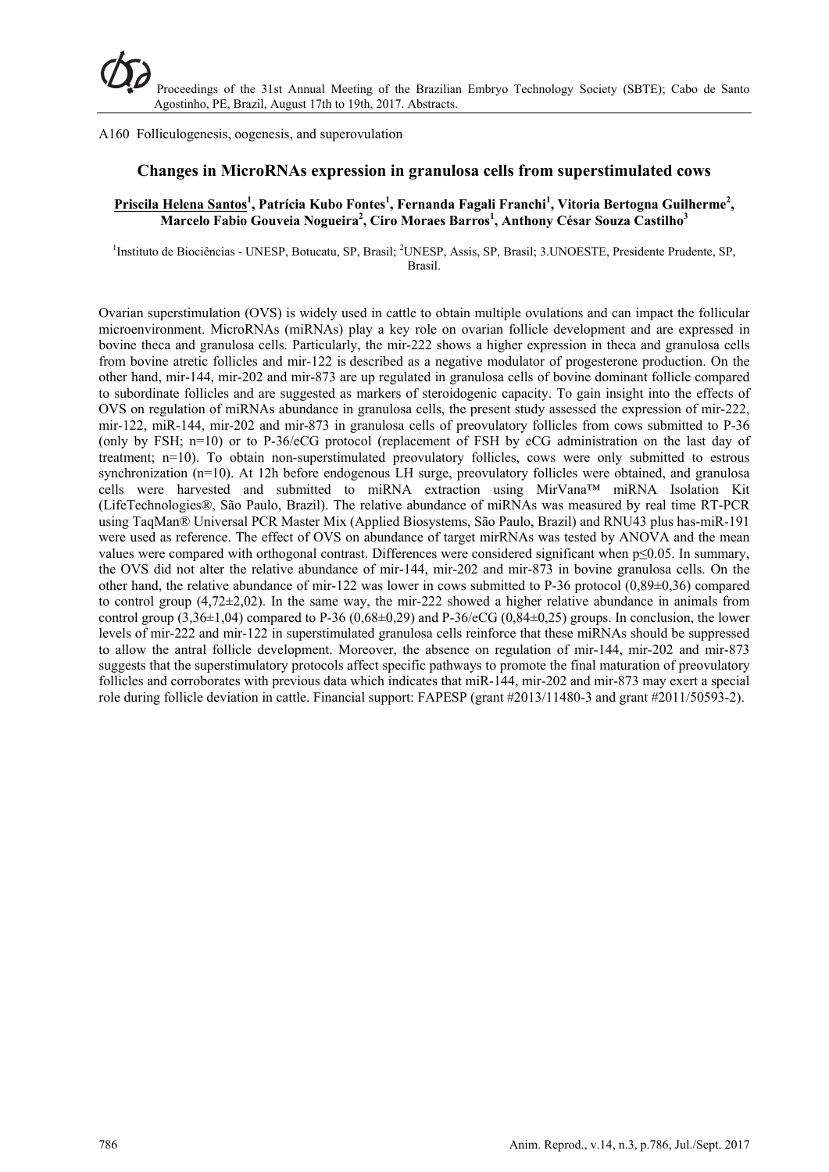A160 Folliculogenesis, oogenesis, and superovulation

## **Changes in MicroRNAs expression in granulosa cells from superstimulated cows**

## **Priscila Helena Santos<sup>1</sup> , Patrícia Kubo Fontes1 , Fernanda Fagali Franchi1 , Vitoria Bertogna Guilherme2 , Marcelo Fabio Gouveia Nogueira<sup>2</sup> , Ciro Moraes Barros1 , Anthony César Souza Castilho<sup>3</sup>**

<sup>1</sup>Instituto de Biociências - UNESP, Botucatu, SP, Brasil; <sup>2</sup>UNESP, Assis, SP, Brasil; 3.UNOESTE, Presidente Prudente, SP, Brasil.

Ovarian superstimulation (OVS) is widely used in cattle to obtain multiple ovulations and can impact the follicular microenvironment. MicroRNAs (miRNAs) play a key role on ovarian follicle development and are expressed in bovine theca and granulosa cells. Particularly, the mir-222 shows a higher expression in theca and granulosa cells from bovine atretic follicles and mir-122 is described as a negative modulator of progesterone production. On the other hand, mir-144, mir-202 and mir-873 are up regulated in granulosa cells of bovine dominant follicle compared to subordinate follicles and are suggested as markers of steroidogenic capacity. To gain insight into the effects of OVS on regulation of miRNAs abundance in granulosa cells, the present study assessed the expression of mir-222, mir-122, miR-144, mir-202 and mir-873 in granulosa cells of preovulatory follicles from cows submitted to P-36 (only by FSH; n=10) or to P-36/eCG protocol (replacement of FSH by eCG administration on the last day of treatment; n=10). To obtain non-superstimulated preovulatory follicles, cows were only submitted to estrous synchronization (n=10). At 12h before endogenous LH surge, preovulatory follicles were obtained, and granulosa cells were harvested and submitted to miRNA extraction using MirVana™ miRNA Isolation Kit (LifeTechnologies®, São Paulo, Brazil). The relative abundance of miRNAs was measured by real time RT-PCR using TaqMan® Universal PCR Master Mix (Applied Biosystems, São Paulo, Brazil) and RNU43 plus has-miR-191 were used as reference. The effect of OVS on abundance of target mirRNAs was tested by ANOVA and the mean values were compared with orthogonal contrast. Differences were considered significant when p≤0.05. In summary, the OVS did not alter the relative abundance of mir-144, mir-202 and mir-873 in bovine granulosa cells. On the other hand, the relative abundance of mir-122 was lower in cows submitted to P-36 protocol (0,89±0,36) compared to control group  $(4,72\pm2,02)$ . In the same way, the mir-222 showed a higher relative abundance in animals from control group  $(3,36\pm1,04)$  compared to P-36  $(0,68\pm0,29)$  and P-36/eCG  $(0,84\pm0,25)$  groups. In conclusion, the lower levels of mir-222 and mir-122 in superstimulated granulosa cells reinforce that these miRNAs should be suppressed to allow the antral follicle development. Moreover, the absence on regulation of mir-144, mir-202 and mir-873 suggests that the superstimulatory protocols affect specific pathways to promote the final maturation of preovulatory follicles and corroborates with previous data which indicates that miR-144, mir-202 and mir-873 may exert a special role during follicle deviation in cattle. Financial support: FAPESP (grant #2013/11480-3 and grant #2011/50593-2).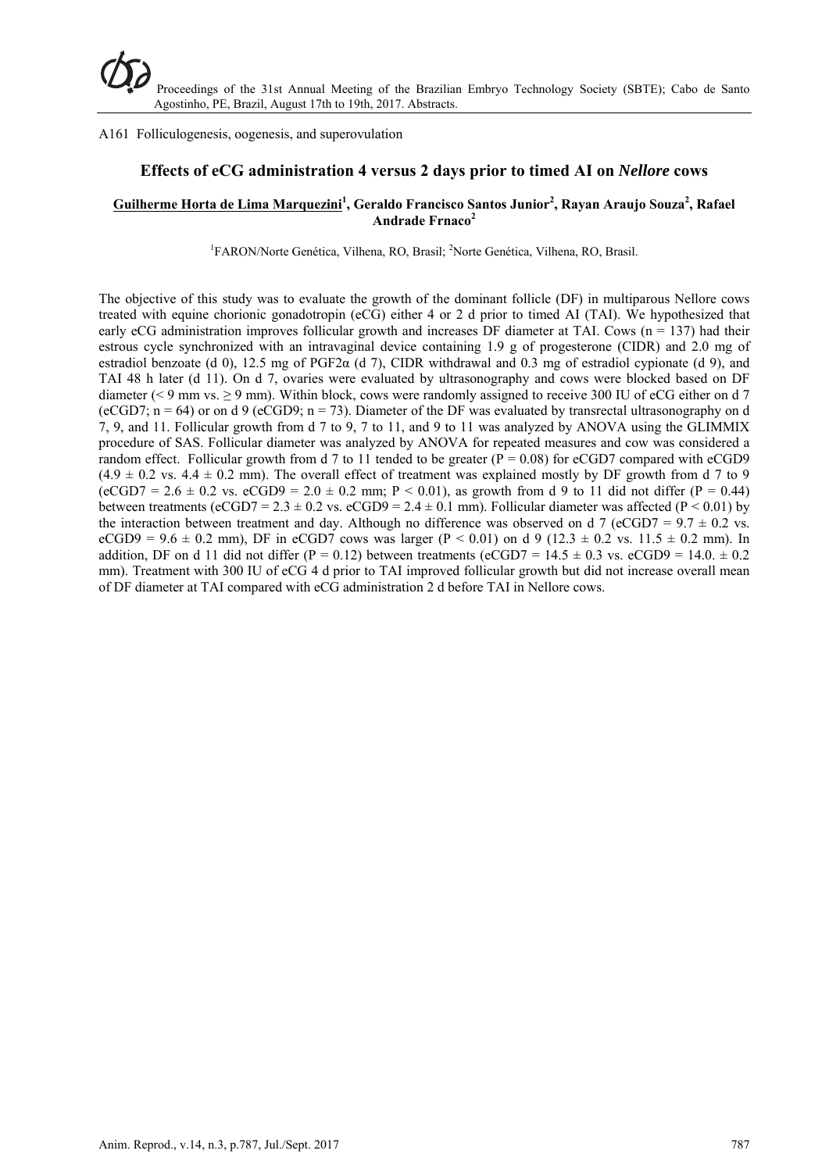#### A161 Folliculogenesis, oogenesis, and superovulation

## **Effects of eCG administration 4 versus 2 days prior to timed AI on** *Nellore* **cows**

## $G$ uilherme Horta de Lima Marquezini<sup>1</sup>, Geraldo Francisco Santos Junior<sup>2</sup>, Rayan Araujo Souza<sup>2</sup>, Rafael **Andrade Frnaco<sup>2</sup>**

<sup>1</sup>FARON/Norte Genética, Vilhena, RO, Brasil; <sup>2</sup>Norte Genética, Vilhena, RO, Brasil.

The objective of this study was to evaluate the growth of the dominant follicle (DF) in multiparous Nellore cows treated with equine chorionic gonadotropin (eCG) either 4 or 2 d prior to timed AI (TAI). We hypothesized that early eCG administration improves follicular growth and increases DF diameter at TAI. Cows  $(n = 137)$  had their estrous cycle synchronized with an intravaginal device containing 1.9 g of progesterone (CIDR) and 2.0 mg of estradiol benzoate (d 0), 12.5 mg of PGF2 $\alpha$  (d 7), CIDR withdrawal and 0.3 mg of estradiol cypionate (d 9), and TAI 48 h later (d 11). On d 7, ovaries were evaluated by ultrasonography and cows were blocked based on DF diameter ( $\leq$  9 mm vs.  $\geq$  9 mm). Within block, cows were randomly assigned to receive 300 IU of eCG either on d 7 (eCGD7;  $n = 64$ ) or on d 9 (eCGD9;  $n = 73$ ). Diameter of the DF was evaluated by transrectal ultrasonography on d 7, 9, and 11. Follicular growth from d 7 to 9, 7 to 11, and 9 to 11 was analyzed by ANOVA using the GLIMMIX procedure of SAS. Follicular diameter was analyzed by ANOVA for repeated measures and cow was considered a random effect. Follicular growth from d 7 to 11 tended to be greater ( $\overline{P} = 0.08$ ) for eCGD7 compared with eCGD9  $(4.9 \pm 0.2 \text{ vs. } 4.4 \pm 0.2 \text{ mm})$ . The overall effect of treatment was explained mostly by DF growth from d 7 to 9  $(eCGD7 = 2.6 \pm 0.2 \text{ vs. } eCGD9 = 2.0 \pm 0.2 \text{ mm}; P < 0.01)$ , as growth from d 9 to 11 did not differ (P = 0.44) between treatments (eCGD7 = 2.3  $\pm$  0.2 vs. eCGD9 = 2.4  $\pm$  0.1 mm). Follicular diameter was affected (P < 0.01) by the interaction between treatment and day. Although no difference was observed on d 7 (eCGD7 =  $9.7 \pm 0.2$  vs. eCGD9 =  $9.6 \pm 0.2$  mm), DF in eCGD7 cows was larger (P < 0.01) on d 9 (12.3  $\pm$  0.2 vs. 11.5  $\pm$  0.2 mm). In addition, DF on d 11 did not differ (P = 0.12) between treatments (eCGD7 = 14.5  $\pm$  0.3 vs. eCGD9 = 14.0.  $\pm$  0.2 mm). Treatment with 300 IU of eCG 4 d prior to TAI improved follicular growth but did not increase overall mean of DF diameter at TAI compared with eCG administration 2 d before TAI in Nellore cows.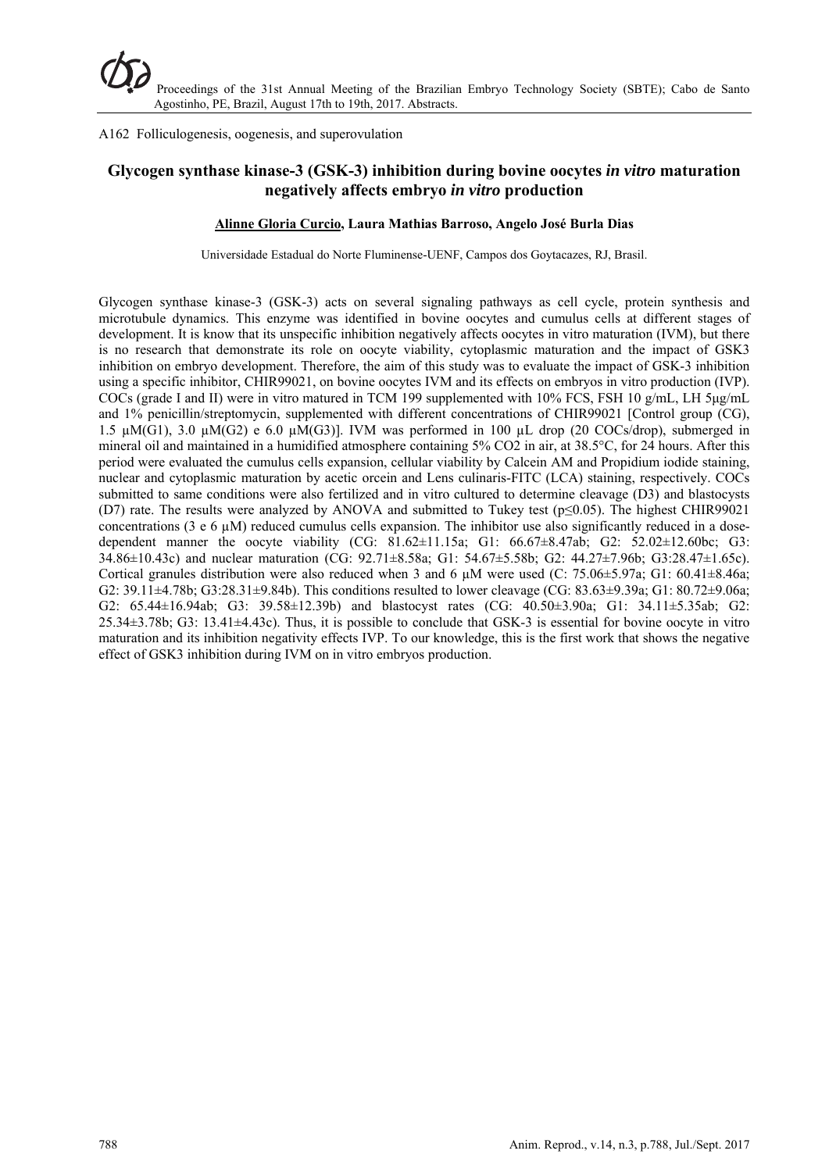A162 Folliculogenesis, oogenesis, and superovulation

# **Glycogen synthase kinase-3 (GSK-3) inhibition during bovine oocytes** *in vitro* **maturation negatively affects embryo** *in vitro* **production**

### **Alinne Gloria Curcio, Laura Mathias Barroso, Angelo José Burla Dias**

Universidade Estadual do Norte Fluminense-UENF, Campos dos Goytacazes, RJ, Brasil.

Glycogen synthase kinase-3 (GSK-3) acts on several signaling pathways as cell cycle, protein synthesis and microtubule dynamics. This enzyme was identified in bovine oocytes and cumulus cells at different stages of development. It is know that its unspecific inhibition negatively affects oocytes in vitro maturation (IVM), but there is no research that demonstrate its role on oocyte viability, cytoplasmic maturation and the impact of GSK3 inhibition on embryo development. Therefore, the aim of this study was to evaluate the impact of GSK-3 inhibition using a specific inhibitor, CHIR99021, on bovine oocytes IVM and its effects on embryos in vitro production (IVP). COCs (grade I and II) were in vitro matured in TCM 199 supplemented with 10% FCS, FSH 10 g/mL, LH 5μg/mL and 1% penicillin/streptomycin, supplemented with different concentrations of CHIR99021 [Control group (CG), 1.5  $\mu$ M(G1), 3.0  $\mu$ M(G2) e 6.0  $\mu$ M(G3)]. IVM was performed in 100  $\mu$ L drop (20 COCs/drop), submerged in mineral oil and maintained in a humidified atmosphere containing 5% CO2 in air, at 38.5°C, for 24 hours. After this period were evaluated the cumulus cells expansion, cellular viability by Calcein AM and Propidium iodide staining, nuclear and cytoplasmic maturation by acetic orcein and Lens culinaris-FITC (LCA) staining, respectively. COCs submitted to same conditions were also fertilized and in vitro cultured to determine cleavage (D3) and blastocysts (D7) rate. The results were analyzed by ANOVA and submitted to Tukey test (p≤0.05). The highest CHIR99021 concentrations (3 e 6  $\mu$ M) reduced cumulus cells expansion. The inhibitor use also significantly reduced in a dosedependent manner the oocyte viability (CG: 81.62±11.15a; G1: 66.67±8.47ab; G2: 52.02±12.60bc; G3: 34.86±10.43c) and nuclear maturation (CG: 92.71±8.58a; G1: 54.67±5.58b; G2: 44.27±7.96b; G3:28.47±1.65c). Cortical granules distribution were also reduced when 3 and 6  $\mu$ M were used (C: 75.06±5.97a; G1: 60.41±8.46a; G2: 39.11±4.78b; G3:28.31±9.84b). This conditions resulted to lower cleavage (CG: 83.63±9.39a; G1: 80.72±9.06a; G2: 65.44±16.94ab; G3: 39.58±12.39b) and blastocyst rates (CG: 40.50±3.90a; G1: 34.11±5.35ab; G2: 25.34±3.78b; G3: 13.41±4.43c). Thus, it is possible to conclude that GSK-3 is essential for bovine oocyte in vitro maturation and its inhibition negativity effects IVP. To our knowledge, this is the first work that shows the negative effect of GSK3 inhibition during IVM on in vitro embryos production.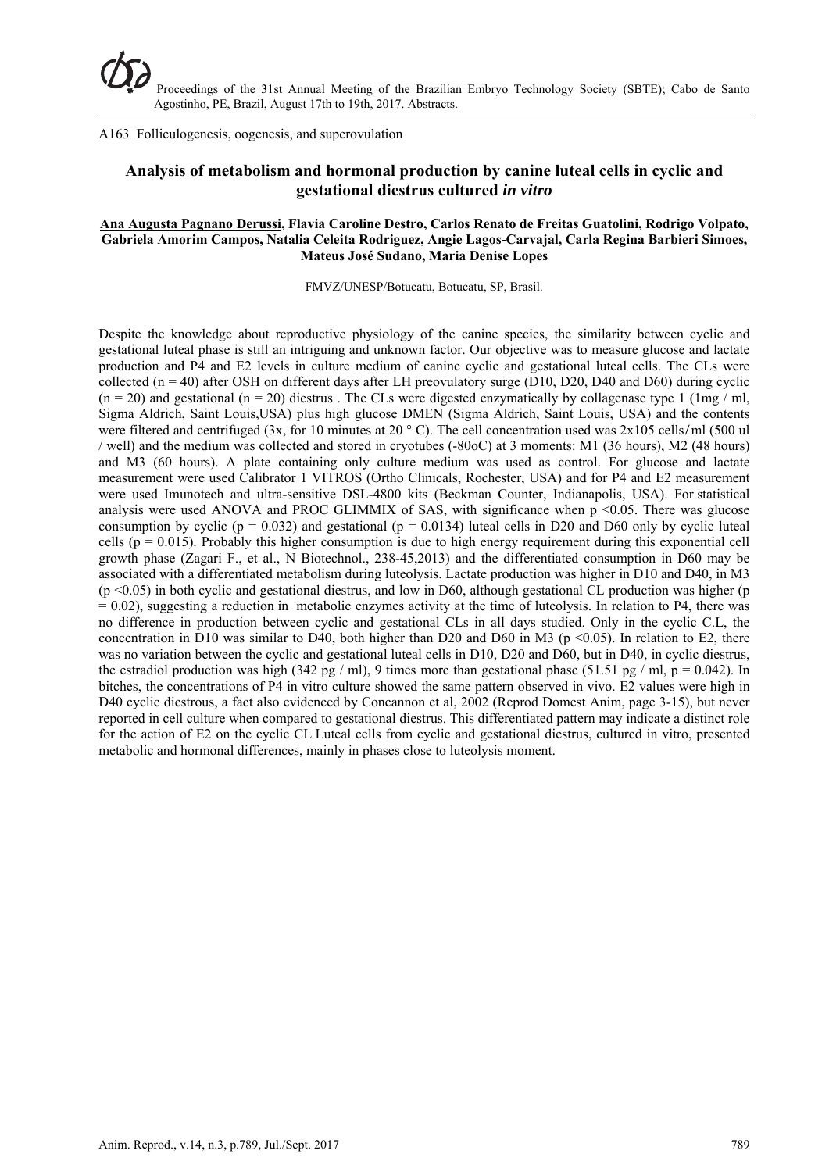A163 Folliculogenesis, oogenesis, and superovulation

# **Analysis of metabolism and hormonal production by canine luteal cells in cyclic and gestational diestrus cultured** *in vitro*

#### **Ana Augusta Pagnano Derussi, Flavia Caroline Destro, Carlos Renato de Freitas Guatolini, Rodrigo Volpato, Gabriela Amorim Campos, Natalia Celeita Rodriguez, Angie Lagos-Carvajal, Carla Regina Barbieri Simoes, Mateus José Sudano, Maria Denise Lopes**

FMVZ/UNESP/Botucatu, Botucatu, SP, Brasil.

Despite the knowledge about reproductive physiology of the canine species, the similarity between cyclic and gestational luteal phase is still an intriguing and unknown factor. Our objective was to measure glucose and lactate production and P4 and E2 levels in culture medium of canine cyclic and gestational luteal cells. The CLs were collected ( $n = 40$ ) after OSH on different days after LH preovulatory surge (D10, D20, D40 and D60) during cyclic  $(n = 20)$  and gestational  $(n = 20)$  diestrus. The CLs were digested enzymatically by collagenase type 1 (1mg / ml, Sigma Aldrich, Saint Louis,USA) plus high glucose DMEN (Sigma Aldrich, Saint Louis, USA) and the contents were filtered and centrifuged (3x, for 10 minutes at 20  $\degree$  C). The cell concentration used was 2x105 cells/ml (500 ul / well) and the medium was collected and stored in cryotubes (-80oC) at 3 moments: M1 (36 hours), M2 (48 hours) and M3 (60 hours). A plate containing only culture medium was used as control. For glucose and lactate measurement were used Calibrator 1 VITROS (Ortho Clinicals, Rochester, USA) and for P4 and E2 measurement were used Imunotech and ultra-sensitive DSL-4800 kits (Beckman Counter, Indianapolis, USA). For statistical analysis were used ANOVA and PROC GLIMMIX of SAS, with significance when p <0.05. There was glucose consumption by cyclic ( $p = 0.032$ ) and gestational ( $p = 0.0134$ ) luteal cells in D20 and D60 only by cyclic luteal cells ( $p = 0.015$ ). Probably this higher consumption is due to high energy requirement during this exponential cell growth phase (Zagari F., et al., N Biotechnol., 238-45,2013) and the differentiated consumption in D60 may be associated with a differentiated metabolism during luteolysis. Lactate production was higher in D10 and D40, in M3  $(p \le 0.05)$  in both cyclic and gestational diestrus, and low in D60, although gestational CL production was higher (p  $= 0.02$ ), suggesting a reduction in metabolic enzymes activity at the time of luteolysis. In relation to P4, there was no difference in production between cyclic and gestational CLs in all days studied. Only in the cyclic C.L, the concentration in D10 was similar to D40, both higher than D20 and D60 in M3 ( $p \le 0.05$ ). In relation to E2, there was no variation between the cyclic and gestational luteal cells in D10, D20 and D60, but in D40, in cyclic diestrus, the estradiol production was high (342 pg / ml), 9 times more than gestational phase (51.51 pg / ml, p = 0.042). In bitches, the concentrations of P4 in vitro culture showed the same pattern observed in vivo. E2 values were high in D40 cyclic diestrous, a fact also evidenced by Concannon et al, 2002 (Reprod Domest Anim, page 3-15), but never reported in cell culture when compared to gestational diestrus. This differentiated pattern may indicate a distinct role for the action of E2 on the cyclic CL Luteal cells from cyclic and gestational diestrus, cultured in vitro, presented metabolic and hormonal differences, mainly in phases close to luteolysis moment.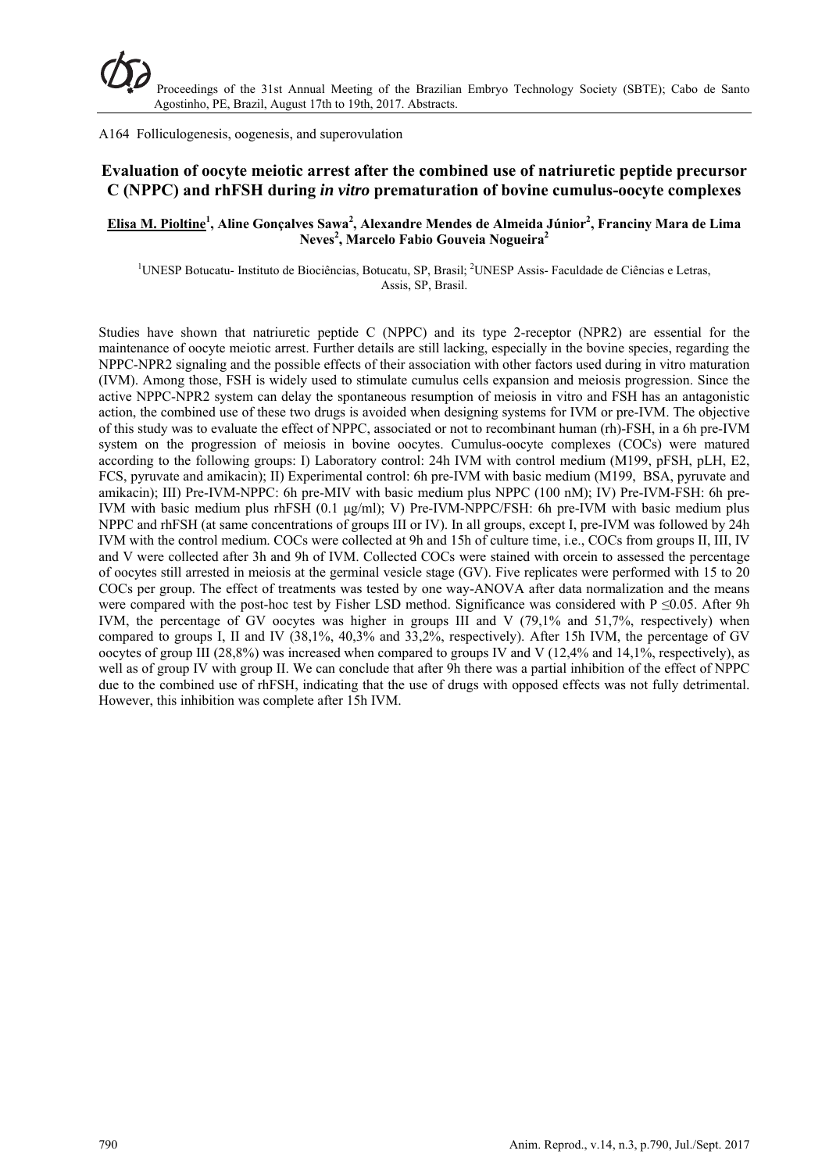A164 Folliculogenesis, oogenesis, and superovulation

# **Evaluation of oocyte meiotic arrest after the combined use of natriuretic peptide precursor C (NPPC) and rhFSH during** *in vitro* **prematuration of bovine cumulus-oocyte complexes**

## **Elisa M. Pioltine1 , Aline Gonçalves Sawa<sup>2</sup> , Alexandre Mendes de Almeida Júnior<sup>2</sup> , Franciny Mara de Lima Neves2 , Marcelo Fabio Gouveia Nogueira2**

<sup>1</sup>UNESP Botucatu- Instituto de Biociências, Botucatu, SP, Brasil; <sup>2</sup>UNESP Assis- Faculdade de Ciências e Letras, Assis, SP, Brasil.

Studies have shown that natriuretic peptide C (NPPC) and its type 2-receptor (NPR2) are essential for the maintenance of oocyte meiotic arrest. Further details are still lacking, especially in the bovine species, regarding the NPPC-NPR2 signaling and the possible effects of their association with other factors used during in vitro maturation (IVM). Among those, FSH is widely used to stimulate cumulus cells expansion and meiosis progression. Since the active NPPC-NPR2 system can delay the spontaneous resumption of meiosis in vitro and FSH has an antagonistic action, the combined use of these two drugs is avoided when designing systems for IVM or pre-IVM. The objective of this study was to evaluate the effect of NPPC, associated or not to recombinant human (rh)-FSH, in a 6h pre-IVM system on the progression of meiosis in bovine oocytes. Cumulus-oocyte complexes (COCs) were matured according to the following groups: I) Laboratory control: 24h IVM with control medium (M199, pFSH, pLH, E2, FCS, pyruvate and amikacin); II) Experimental control: 6h pre-IVM with basic medium (M199, BSA, pyruvate and amikacin); III) Pre-IVM-NPPC: 6h pre-MIV with basic medium plus NPPC (100 nM); IV) Pre-IVM-FSH: 6h pre-IVM with basic medium plus rhFSH (0.1 μg/ml); V) Pre-IVM-NPPC/FSH: 6h pre-IVM with basic medium plus NPPC and rhFSH (at same concentrations of groups III or IV). In all groups, except I, pre-IVM was followed by 24h IVM with the control medium. COCs were collected at 9h and 15h of culture time, i.e., COCs from groups II, III, IV and V were collected after 3h and 9h of IVM. Collected COCs were stained with orcein to assessed the percentage of oocytes still arrested in meiosis at the germinal vesicle stage (GV). Five replicates were performed with 15 to 20 COCs per group. The effect of treatments was tested by one way-ANOVA after data normalization and the means were compared with the post-hoc test by Fisher LSD method. Significance was considered with P  $\leq 0.05$ . After 9h IVM, the percentage of GV oocytes was higher in groups III and V (79,1% and 51,7%, respectively) when compared to groups I, II and IV (38,1%, 40,3% and 33,2%, respectively). After 15h IVM, the percentage of GV oocytes of group III (28,8%) was increased when compared to groups IV and V (12,4% and 14,1%, respectively), as well as of group IV with group II. We can conclude that after 9h there was a partial inhibition of the effect of NPPC due to the combined use of rhFSH, indicating that the use of drugs with opposed effects was not fully detrimental. However, this inhibition was complete after 15h IVM.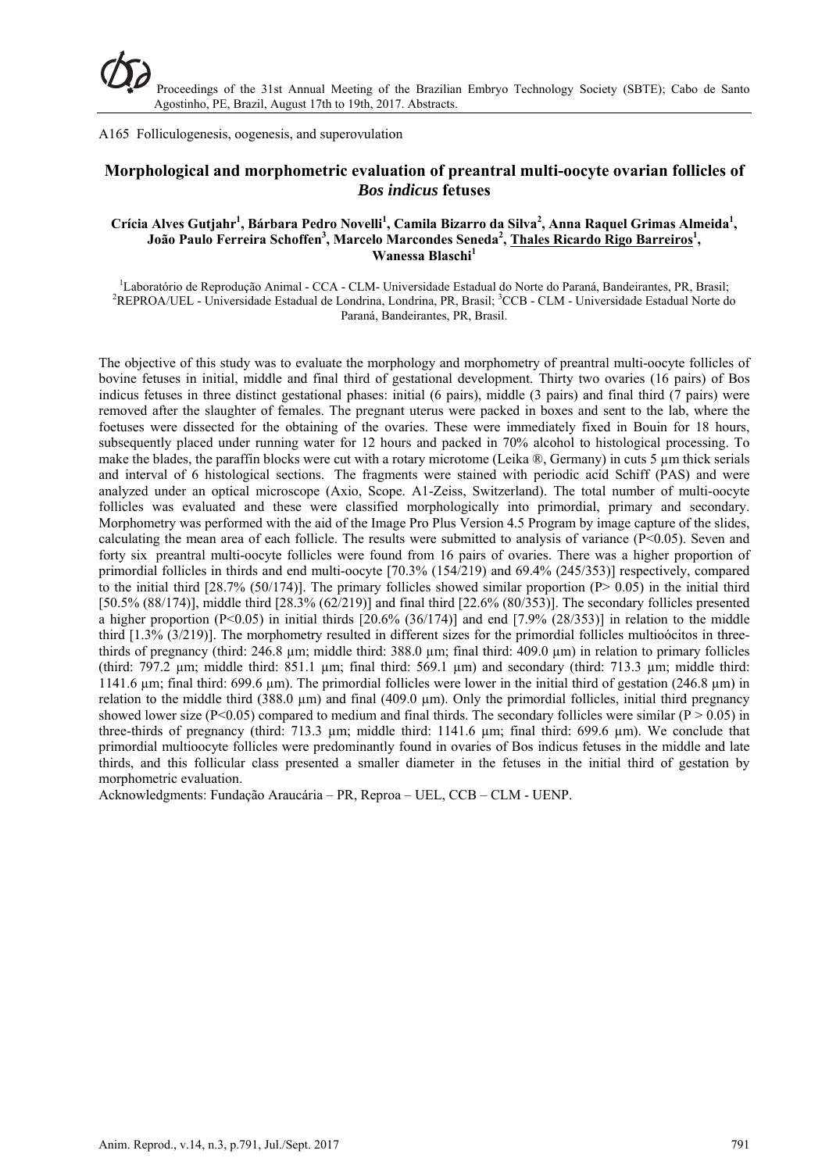A165 Folliculogenesis, oogenesis, and superovulation

# **Morphological and morphometric evaluation of preantral multi-oocyte ovarian follicles of**  *Bos indicus* **fetuses**

#### Crícia Alves Gutjahr<sup>1</sup>, Bárbara Pedro Novelli<sup>1</sup>, Camila Bizarro da Silva<sup>2</sup>, Anna Raquel Grimas Almeida<sup>1</sup>, **João Paulo Ferreira Schoffen<sup>3</sup>, Marcelo Marcondes Seneda<sup>2</sup>, <u>Thales Ricardo Rigo Barreiros<sup>1</sup>,</u>** Wanessa Blaschi<sup>1</sup>

<sup>1</sup>Laboratório de Reprodução Animal - CCA - CLM- Universidade Estadual do Norte do Paraná, Bandeirantes, PR, Brasil;<br><sup>2</sup>PEPPO A (UEL - Universidade Estadual de Londrine, Londrine, PR, Presil: <sup>3</sup>CCP, CLM, Universidade Esta REPROA/UEL - Universidade Estadual de Londrina, Londrina, PR, Brasil; <sup>3</sup>CCB - CLM - Universidade Estadual Norte do Paraná, Bandeirantes, PR, Brasil.

The objective of this study was to evaluate the morphology and morphometry of preantral multi-oocyte follicles of bovine fetuses in initial, middle and final third of gestational development. Thirty two ovaries (16 pairs) of Bos indicus fetuses in three distinct gestational phases: initial (6 pairs), middle (3 pairs) and final third (7 pairs) were removed after the slaughter of females. The pregnant uterus were packed in boxes and sent to the lab, where the foetuses were dissected for the obtaining of the ovaries. These were immediately fixed in Bouin for 18 hours, subsequently placed under running water for 12 hours and packed in 70% alcohol to histological processing. To make the blades, the paraffin blocks were cut with a rotary microtome (Leika  $\mathcal{R}$ , Germany) in cuts 5 µm thick serials and interval of 6 histological sections. The fragments were stained with periodic acid Schiff (PAS) and were analyzed under an optical microscope (Axio, Scope. A1-Zeiss, Switzerland). The total number of multi-oocyte follicles was evaluated and these were classified morphologically into primordial, primary and secondary. Morphometry was performed with the aid of the Image Pro Plus Version 4.5 Program by image capture of the slides, calculating the mean area of each follicle. The results were submitted to analysis of variance  $(P<0.05)$ . Seven and forty six preantral multi-oocyte follicles were found from 16 pairs of ovaries. There was a higher proportion of primordial follicles in thirds and end multi-oocyte [70.3% (154/219) and 69.4% (245/353)] respectively, compared to the initial third  $[28.7\% (50/174)]$ . The primary follicles showed similar proportion  $(P> 0.05)$  in the initial third [50.5% (88/174)], middle third  $[28.3\% (62/219)]$  and final third  $[22.6\% (80/353)]$ . The secondary follicles presented a higher proportion  $(P<0.05)$  in initial thirds  $[20.6\% (36/174)]$  and end  $[7.9\% (28/353)]$  in relation to the middle third [1.3% (3/219)]. The morphometry resulted in different sizes for the primordial follicles multioócitos in threethirds of pregnancy (third: 246.8 µm; middle third: 388.0 µm; final third: 409.0 µm) in relation to primary follicles (third: 797.2 µm; middle third: 851.1 µm; final third: 569.1 µm) and secondary (third: 713.3 µm; middle third: 1141.6 µm; final third: 699.6 µm). The primordial follicles were lower in the initial third of gestation (246.8 µm) in relation to the middle third (388.0  $\mu$ m) and final (409.0  $\mu$ m). Only the primordial follicles, initial third pregnancy showed lower size (P<0.05) compared to medium and final thirds. The secondary follicles were similar (P > 0.05) in three-thirds of pregnancy (third: 713.3 µm; middle third: 1141.6 µm; final third: 699.6 µm). We conclude that primordial multioocyte follicles were predominantly found in ovaries of Bos indicus fetuses in the middle and late thirds, and this follicular class presented a smaller diameter in the fetuses in the initial third of gestation by morphometric evaluation.

Acknowledgments: Fundação Araucária – PR, Reproa – UEL, CCB – CLM - UENP.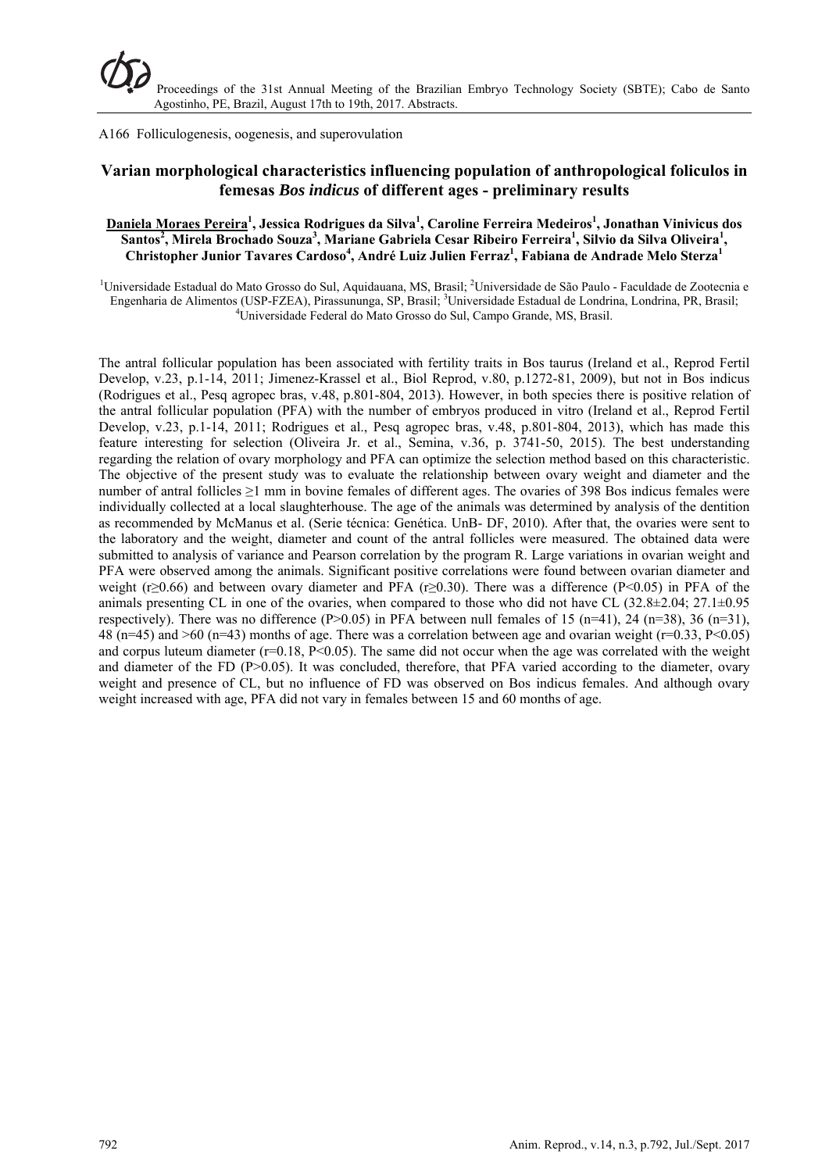A166 Folliculogenesis, oogenesis, and superovulation

# **Varian morphological characteristics influencing population of anthropological foliculos in femesas** *Bos indicus* **of different ages - preliminary results**

## **Daniela Moraes Pereira<sup>1</sup> , Jessica Rodrigues da Silva1 , Caroline Ferreira Medeiros1 , Jonathan Vinivicus dos**   $Santos<sup>2</sup>$ , Mirela Brochado Souza<sup>3</sup>, Mariane Gabriela Cesar Ribeiro Ferreira<sup>1</sup>, Silvio da Silva Oliveira<sup>1</sup>, **Christopher Junior Tavares Cardoso<sup>4</sup> , André Luiz Julien Ferraz1 , Fabiana de Andrade Melo Sterza<sup>1</sup>**

<sup>1</sup>Universidade Estadual do Mato Grosso do Sul, Aquidauana, MS, Brasil; <sup>2</sup>Universidade de São Paulo - Faculdade de Zootecnia e Engenharia de Alimentos (USP-FZEA), Pirassununga, SP, Brasil; <sup>3</sup>Universidade Estadual de Londrina, Londrina, PR, Brasil; <sup>4</sup>Universidade Estadual de Londrina, Londrina, PR, Brasil; Universidade Federal do Mato Grosso do Sul, Campo Grande, MS, Brasil.

The antral follicular population has been associated with fertility traits in Bos taurus (Ireland et al., Reprod Fertil Develop, v.23, p.1-14, 2011; Jimenez-Krassel et al., Biol Reprod, v.80, p.1272-81, 2009), but not in Bos indicus (Rodrigues et al., Pesq agropec bras, v.48, p.801-804, 2013). However, in both species there is positive relation of the antral follicular population (PFA) with the number of embryos produced in vitro (Ireland et al., Reprod Fertil Develop, v.23, p.1-14, 2011; Rodrigues et al., Pesq agropec bras, v.48, p.801-804, 2013), which has made this feature interesting for selection (Oliveira Jr. et al., Semina, v.36, p. 3741-50, 2015). The best understanding regarding the relation of ovary morphology and PFA can optimize the selection method based on this characteristic. The objective of the present study was to evaluate the relationship between ovary weight and diameter and the number of antral follicles ≥1 mm in bovine females of different ages. The ovaries of 398 Bos indicus females were individually collected at a local slaughterhouse. The age of the animals was determined by analysis of the dentition as recommended by McManus et al. (Serie técnica: Genética. UnB- DF, 2010). After that, the ovaries were sent to the laboratory and the weight, diameter and count of the antral follicles were measured. The obtained data were submitted to analysis of variance and Pearson correlation by the program R. Large variations in ovarian weight and PFA were observed among the animals. Significant positive correlations were found between ovarian diameter and weight (r≥0.66) and between ovary diameter and PFA (r≥0.30). There was a difference (P<0.05) in PFA of the animals presenting CL in one of the ovaries, when compared to those who did not have CL (32.8±2.04; 27.1±0.95 respectively). There was no difference (P>0.05) in PFA between null females of 15 (n=41), 24 (n=38), 36 (n=31), 48 (n=45) and >60 (n=43) months of age. There was a correlation between age and ovarian weight (r=0.33, P<0.05) and corpus luteum diameter ( $r=0.18$ ,  $P<0.05$ ). The same did not occur when the age was correlated with the weight and diameter of the FD (P>0.05). It was concluded, therefore, that PFA varied according to the diameter, ovary weight and presence of CL, but no influence of FD was observed on Bos indicus females. And although ovary weight increased with age, PFA did not vary in females between 15 and 60 months of age.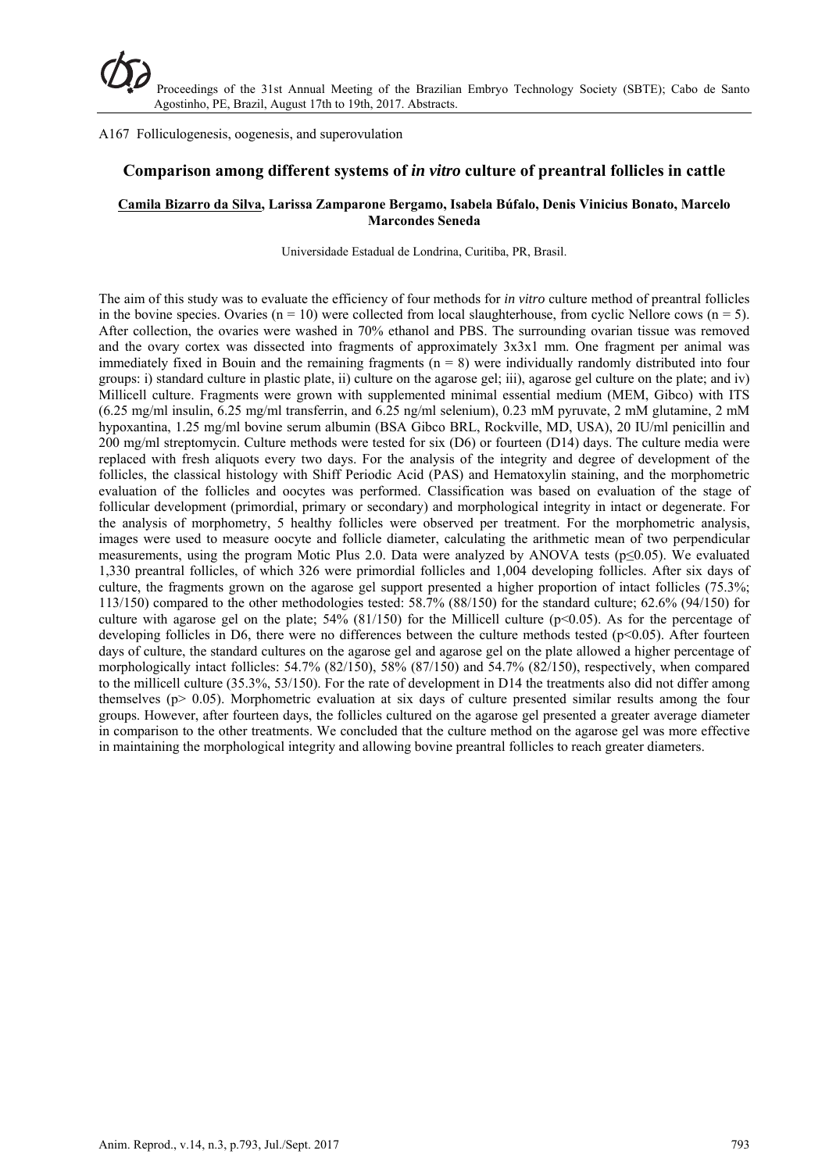### A167 Folliculogenesis, oogenesis, and superovulation

## **Comparison among different systems of** *in vitro* **culture of preantral follicles in cattle**

#### **Camila Bizarro da Silva, Larissa Zamparone Bergamo, Isabela Búfalo, Denis Vinicius Bonato, Marcelo Marcondes Seneda**

Universidade Estadual de Londrina, Curitiba, PR, Brasil.

The aim of this study was to evaluate the efficiency of four methods for *in vitro* culture method of preantral follicles in the bovine species. Ovaries ( $n = 10$ ) were collected from local slaughterhouse, from cyclic Nellore cows ( $n = 5$ ). After collection, the ovaries were washed in 70% ethanol and PBS. The surrounding ovarian tissue was removed and the ovary cortex was dissected into fragments of approximately 3x3x1 mm. One fragment per animal was immediately fixed in Bouin and the remaining fragments  $(n = 8)$  were individually randomly distributed into four groups: i) standard culture in plastic plate, ii) culture on the agarose gel; iii), agarose gel culture on the plate; and iv) Millicell culture. Fragments were grown with supplemented minimal essential medium (MEM, Gibco) with ITS (6.25 mg/ml insulin, 6.25 mg/ml transferrin, and 6.25 ng/ml selenium), 0.23 mM pyruvate, 2 mM glutamine, 2 mM hypoxantina, 1.25 mg/ml bovine serum albumin (BSA Gibco BRL, Rockville, MD, USA), 20 IU/ml penicillin and 200 mg/ml streptomycin. Culture methods were tested for six (D6) or fourteen (D14) days. The culture media were replaced with fresh aliquots every two days. For the analysis of the integrity and degree of development of the follicles, the classical histology with Shiff Periodic Acid (PAS) and Hematoxylin staining, and the morphometric evaluation of the follicles and oocytes was performed. Classification was based on evaluation of the stage of follicular development (primordial, primary or secondary) and morphological integrity in intact or degenerate. For the analysis of morphometry, 5 healthy follicles were observed per treatment. For the morphometric analysis, images were used to measure oocyte and follicle diameter, calculating the arithmetic mean of two perpendicular measurements, using the program Motic Plus 2.0. Data were analyzed by ANOVA tests (p≤0.05). We evaluated 1,330 preantral follicles, of which 326 were primordial follicles and 1,004 developing follicles. After six days of culture, the fragments grown on the agarose gel support presented a higher proportion of intact follicles (75.3%; 113/150) compared to the other methodologies tested: 58.7% (88/150) for the standard culture; 62.6% (94/150) for culture with agarose gel on the plate;  $54\%$  (81/150) for the Millicell culture (p<0.05). As for the percentage of developing follicles in D6, there were no differences between the culture methods tested (p<0.05). After fourteen days of culture, the standard cultures on the agarose gel and agarose gel on the plate allowed a higher percentage of morphologically intact follicles: 54.7% (82/150), 58% (87/150) and 54.7% (82/150), respectively, when compared to the millicell culture (35.3%, 53/150). For the rate of development in D14 the treatments also did not differ among themselves ( $p$   $> 0.05$ ). Morphometric evaluation at six days of culture presented similar results among the four groups. However, after fourteen days, the follicles cultured on the agarose gel presented a greater average diameter in comparison to the other treatments. We concluded that the culture method on the agarose gel was more effective in maintaining the morphological integrity and allowing bovine preantral follicles to reach greater diameters.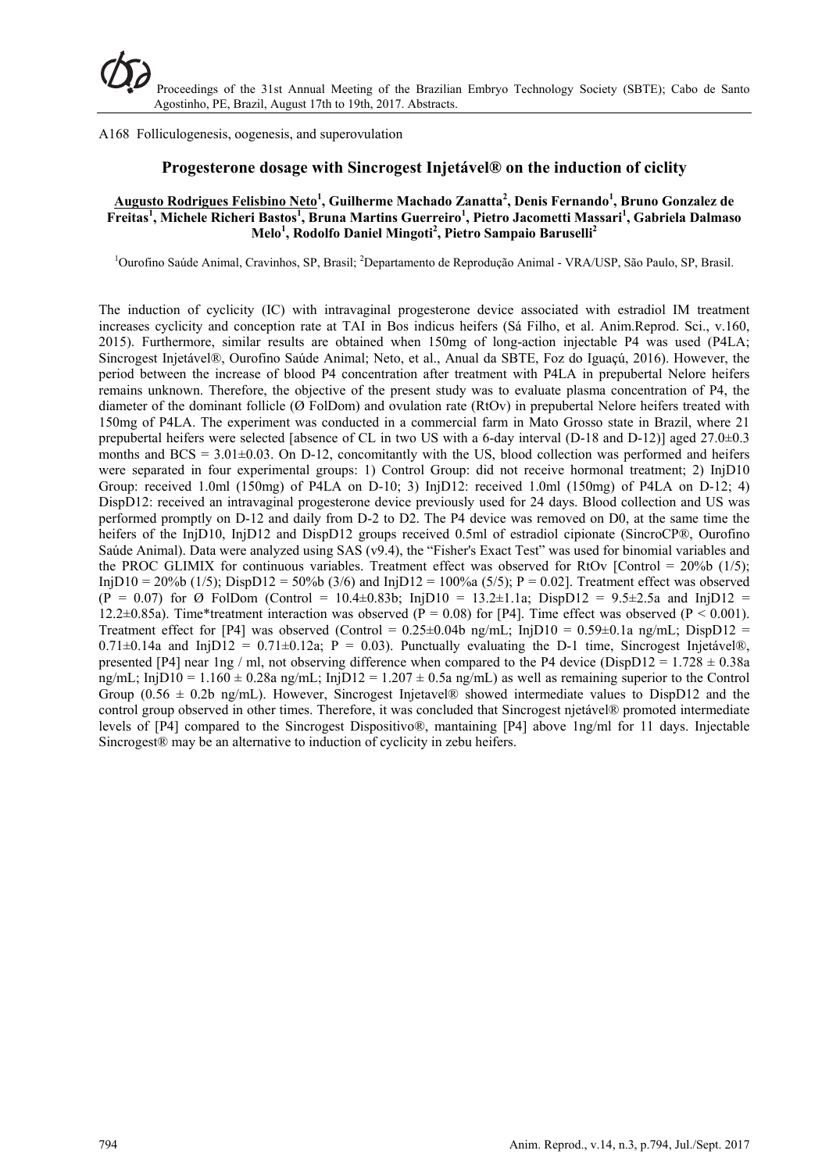A168 Folliculogenesis, oogenesis, and superovulation

## **Progesterone dosage with Sincrogest Injetável® on the induction of ciclity**

### **Augusto Rodrigues Felisbino Neto<sup>1</sup> , Guilherme Machado Zanatta<sup>2</sup> , Denis Fernando<sup>1</sup> , Bruno Gonzalez de**  Freitas<sup>1</sup>, Michele Richeri Bastos<sup>1</sup>, Bruna Martins Guerreiro<sup>1</sup>, Pietro Jacometti Massari<sup>1</sup>, Gabriela Dalmaso **Melo<sup>1</sup> , Rodolfo Daniel Mingoti<sup>2</sup> , Pietro Sampaio Baruselli2**

<sup>1</sup>Ourofino Saúde Animal, Cravinhos, SP, Brasil; <sup>2</sup>Departamento de Reprodução Animal - VRA/USP, São Paulo, SP, Brasil.

The induction of cyclicity (IC) with intravaginal progesterone device associated with estradiol IM treatment increases cyclicity and conception rate at TAI in Bos indicus heifers (Sá Filho, et al. Anim.Reprod. Sci., v.160, 2015). Furthermore, similar results are obtained when 150mg of long-action injectable P4 was used (P4LA; Sincrogest Injetável®, Ourofino Saúde Animal; Neto, et al., Anual da SBTE, Foz do Iguaçú, 2016). However, the period between the increase of blood P4 concentration after treatment with P4LA in prepubertal Nelore heifers remains unknown. Therefore, the objective of the present study was to evaluate plasma concentration of P4, the diameter of the dominant follicle (Ø FolDom) and ovulation rate (RtOv) in prepubertal Nelore heifers treated with 150mg of P4LA. The experiment was conducted in a commercial farm in Mato Grosso state in Brazil, where 21 prepubertal heifers were selected [absence of CL in two US with a 6-day interval (D-18 and D-12)] aged 27.0±0.3 months and  $BCS = 3.01 \pm 0.03$ . On D-12, concomitantly with the US, blood collection was performed and heifers were separated in four experimental groups: 1) Control Group: did not receive hormonal treatment; 2) InjD10 Group: received 1.0ml (150mg) of P4LA on D-10; 3) InjD12: received 1.0ml (150mg) of P4LA on D-12; 4) DispD12: received an intravaginal progesterone device previously used for 24 days. Blood collection and US was performed promptly on D-12 and daily from D-2 to D2. The P4 device was removed on D0, at the same time the heifers of the InjD10, InjD12 and DispD12 groups received 0.5ml of estradiol cipionate (SincroCP®, Ourofino Saúde Animal). Data were analyzed using SAS (v9.4), the "Fisher's Exact Test" was used for binomial variables and the PROC GLIMIX for continuous variables. Treatment effect was observed for RtOv [Control =  $20\%$ b (1/5); InjD10 = 20%b (1/5); DispD12 = 50%b (3/6) and InjD12 = 100%a (5/5); P = 0.02]. Treatment effect was observed  $(P = 0.07)$  for Ø FolDom (Control = 10.4±0.83b; InjD10 = 13.2±1.1a; DispD12 = 9.5±2.5a and InjD12 = 12.2 $\pm$ 0.85a). Time\*treatment interaction was observed (P = 0.08) for [P4]. Time effect was observed (P < 0.001). Treatment effect for [P4] was observed (Control =  $0.25\pm0.04b$  ng/mL; InjD10 =  $0.59\pm0.1a$  ng/mL; DispD12 =  $0.71\pm0.14$ a and InjD12 =  $0.71\pm0.12$ a; P = 0.03). Punctually evaluating the D-1 time, Sincrogest Injetável®, presented [P4] near 1ng / ml, not observing difference when compared to the P4 device (DispD12 =  $1.728 \pm 0.38a$ ng/mL; InjD10 = 1.160  $\pm$  0.28a ng/mL; InjD12 = 1.207  $\pm$  0.5a ng/mL) as well as remaining superior to the Control Group ( $0.56 \pm 0.2b$  ng/mL). However, Sincrogest Injetavel® showed intermediate values to DispD12 and the control group observed in other times. Therefore, it was concluded that Sincrogest njetável® promoted intermediate levels of [P4] compared to the Sincrogest Dispositivo®, mantaining [P4] above 1ng/ml for 11 days. Injectable Sincrogest<sup>®</sup> may be an alternative to induction of cyclicity in zebu heifers.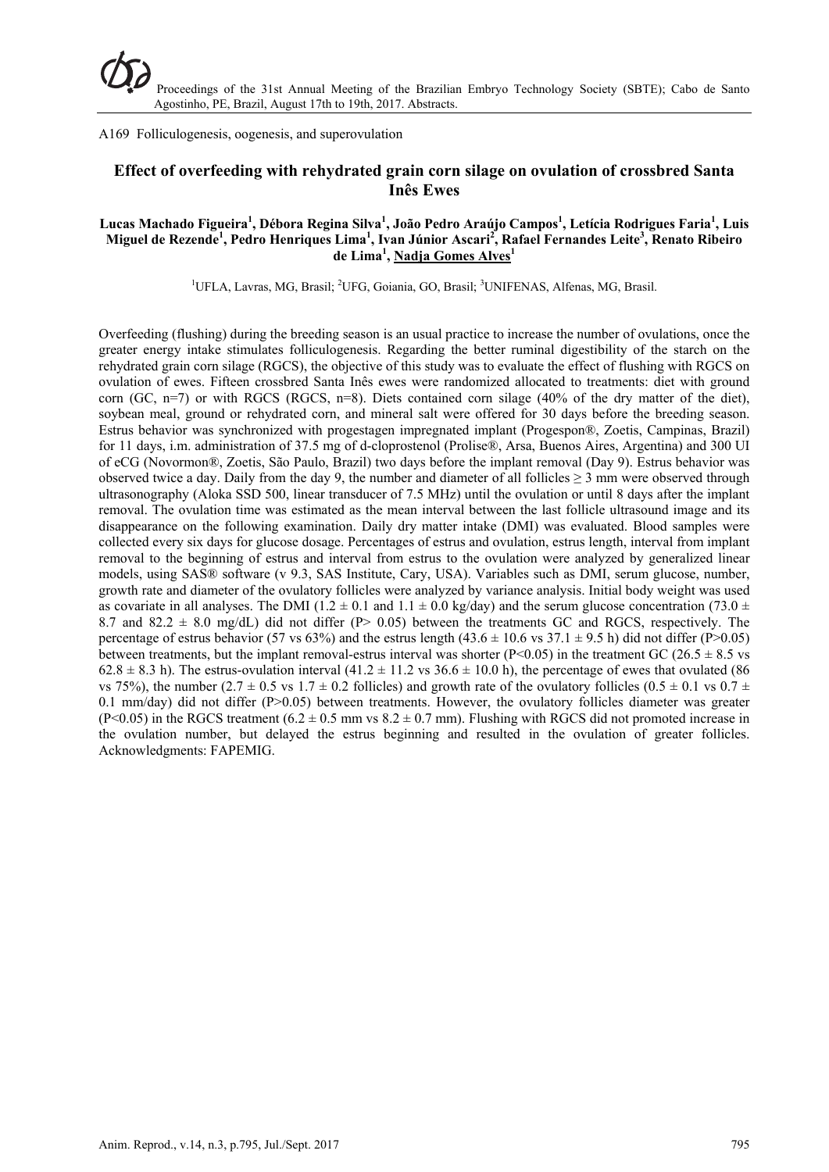A169 Folliculogenesis, oogenesis, and superovulation

# **Effect of overfeeding with rehydrated grain corn silage on ovulation of crossbred Santa Inês Ewes**

### **Lucas Machado Figueira<sup>1</sup> , Débora Regina Silva<sup>1</sup> , João Pedro Araújo Campos<sup>1</sup> , Letícia Rodrigues Faria<sup>1</sup> , Luis Miguel de Rezende1 , Pedro Henriques Lima<sup>1</sup> , Ivan Júnior Ascari2 , Rafael Fernandes Leite3 , Renato Ribeiro de Lima<sup>1</sup> , Nadja Gomes Alves1**

<sup>1</sup>UFLA, Lavras, MG, Brasil; <sup>2</sup>UFG, Goiania, GO, Brasil; <sup>3</sup>UNIFENAS, Alfenas, MG, Brasil.

Overfeeding (flushing) during the breeding season is an usual practice to increase the number of ovulations, once the greater energy intake stimulates folliculogenesis. Regarding the better ruminal digestibility of the starch on the rehydrated grain corn silage (RGCS), the objective of this study was to evaluate the effect of flushing with RGCS on ovulation of ewes. Fifteen crossbred Santa Inês ewes were randomized allocated to treatments: diet with ground corn (GC, n=7) or with RGCS (RGCS, n=8). Diets contained corn silage (40% of the dry matter of the diet), soybean meal, ground or rehydrated corn, and mineral salt were offered for 30 days before the breeding season. Estrus behavior was synchronized with progestagen impregnated implant (Progespon®, Zoetis, Campinas, Brazil) for 11 days, i.m. administration of 37.5 mg of d-cloprostenol (Prolise®, Arsa, Buenos Aires, Argentina) and 300 UI of eCG (Novormon®, Zoetis, São Paulo, Brazil) two days before the implant removal (Day 9). Estrus behavior was observed twice a day. Daily from the day 9, the number and diameter of all follicles  $\geq$  3 mm were observed through ultrasonography (Aloka SSD 500, linear transducer of 7.5 MHz) until the ovulation or until 8 days after the implant removal. The ovulation time was estimated as the mean interval between the last follicle ultrasound image and its disappearance on the following examination. Daily dry matter intake (DMI) was evaluated. Blood samples were collected every six days for glucose dosage. Percentages of estrus and ovulation, estrus length, interval from implant removal to the beginning of estrus and interval from estrus to the ovulation were analyzed by generalized linear models, using SAS® software (v 9.3, SAS Institute, Cary, USA). Variables such as DMI, serum glucose, number, growth rate and diameter of the ovulatory follicles were analyzed by variance analysis. Initial body weight was used as covariate in all analyses. The DMI (1.2  $\pm$  0.1 and 1.1  $\pm$  0.0 kg/day) and the serum glucose concentration (73.0  $\pm$ 8.7 and 82.2  $\pm$  8.0 mg/dL) did not differ (P $>$  0.05) between the treatments GC and RGCS, respectively. The percentage of estrus behavior (57 vs 63%) and the estrus length (43.6  $\pm$  10.6 vs 37.1  $\pm$  9.5 h) did not differ (P>0.05) between treatments, but the implant removal-estrus interval was shorter ( $P<0.05$ ) in the treatment GC (26.5  $\pm$  8.5 vs  $62.8 \pm 8.3$  h). The estrus-ovulation interval  $(41.2 \pm 11.2 \text{ vs } 36.6 \pm 10.0 \text{ h})$ , the percentage of ewes that ovulated (86) vs 75%), the number  $(2.7 \pm 0.5 \text{ vs } 1.7 \pm 0.2 \text{ follicles})$  and growth rate of the ovulatory follicles  $(0.5 \pm 0.1 \text{ vs } 0.7 \pm 0.7 \text{ s})$ 0.1 mm/day) did not differ (P>0.05) between treatments. However, the ovulatory follicles diameter was greater (P<0.05) in the RGCS treatment  $(6.2 \pm 0.5$  mm vs  $8.2 \pm 0.7$  mm). Flushing with RGCS did not promoted increase in the ovulation number, but delayed the estrus beginning and resulted in the ovulation of greater follicles. Acknowledgments: FAPEMIG.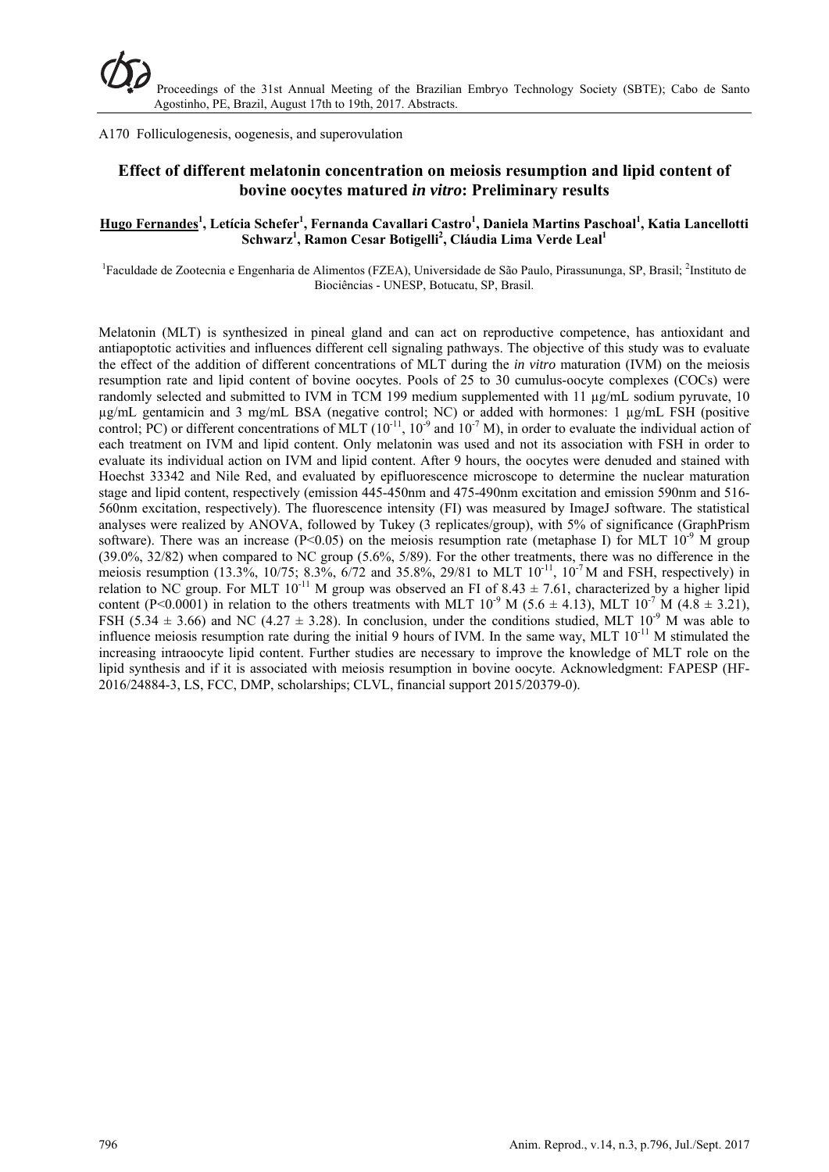A170 Folliculogenesis, oogenesis, and superovulation

# **Effect of different melatonin concentration on meiosis resumption and lipid content of bovine oocytes matured** *in vitro***: Preliminary results**

## **Hugo Fernandes1 , Letícia Schefer1 , Fernanda Cavallari Castro<sup>1</sup> , Daniela Martins Paschoal1 , Katia Lancellotti**  Schwarz<sup>1</sup>, Ramon Cesar Botigelli<sup>2</sup>, Cláudia Lima Verde Leal<sup>1</sup>

<sup>1</sup> Faculdade de Zootecnia e Engenharia de Alimentos (FZEA), Universidade de São Paulo, Pirassununga, SP, Brasil; <sup>2</sup>Instituto de Biociências - UNESP, Botucatu, SP, Brasil.

Melatonin (MLT) is synthesized in pineal gland and can act on reproductive competence, has antioxidant and antiapoptotic activities and influences different cell signaling pathways. The objective of this study was to evaluate the effect of the addition of different concentrations of MLT during the *in vitro* maturation (IVM) on the meiosis resumption rate and lipid content of bovine oocytes. Pools of 25 to 30 cumulus-oocyte complexes (COCs) were randomly selected and submitted to IVM in TCM 199 medium supplemented with 11 µg/mL sodium pyruvate, 10 µg/mL gentamicin and 3 mg/mL BSA (negative control; NC) or added with hormones: 1 µg/mL FSH (positive control; PC) or different concentrations of MLT  $(10^{-11}, 10^{-9}$  and  $10^{-7}$  M), in order to evaluate the individual action of each treatment on IVM and lipid content. Only melatonin was used and not its association with FSH in order to evaluate its individual action on IVM and lipid content. After 9 hours, the oocytes were denuded and stained with Hoechst 33342 and Nile Red, and evaluated by epifluorescence microscope to determine the nuclear maturation stage and lipid content, respectively (emission 445-450nm and 475-490nm excitation and emission 590nm and 516- 560nm excitation, respectively). The fluorescence intensity (FI) was measured by ImageJ software. The statistical analyses were realized by ANOVA, followed by Tukey (3 replicates/group), with 5% of significance (GraphPrism software). There was an increase (P<0.05) on the meiosis resumption rate (metaphase I) for MLT  $10^{-9}$  M group (39.0%, 32/82) when compared to NC group (5.6%, 5/89). For the other treatments, there was no difference in the meiosis resumption (13.3%, 10/75; 8.3%, 6/72 and 35.8%, 29/81 to MLT  $10^{-11}$ ,  $10^{-7}$ M and FSH, respectively) in relation to NC group. For MLT  $10^{-11}$  M group was observed an FI of 8.43  $\pm$  7.61, characterized by a higher lipid content (P<0.0001) in relation to the others treatments with MLT  $10^{-9}$  M (5.6  $\pm$  4.13), MLT  $10^{-7}$  M (4.8  $\pm$  3.21), FSH (5.34  $\pm$  3.66) and NC (4.27  $\pm$  3.28). In conclusion, under the conditions studied, MLT 10<sup>-9</sup> M was able to influence meiosis resumption rate during the initial 9 hours of IVM. In the same way, MLT 10<sup>-11</sup> M stimulated the increasing intraoocyte lipid content. Further studies are necessary to improve the knowledge of MLT role on the lipid synthesis and if it is associated with meiosis resumption in bovine oocyte. Acknowledgment: FAPESP (HF-2016/24884-3, LS, FCC, DMP, scholarships; CLVL, financial support 2015/20379-0).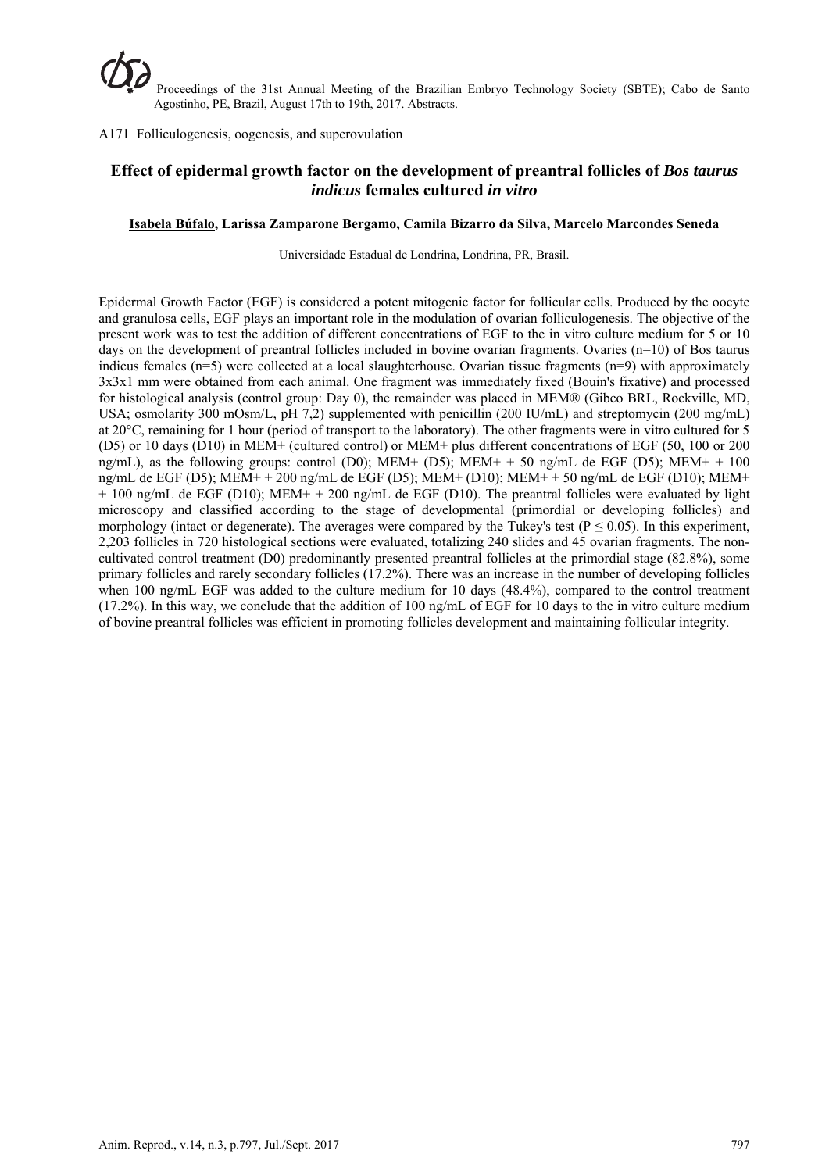## A171 Folliculogenesis, oogenesis, and superovulation

# **Effect of epidermal growth factor on the development of preantral follicles of** *Bos taurus indicus* **females cultured** *in vitro*

#### **Isabela Búfalo, Larissa Zamparone Bergamo, Camila Bizarro da Silva, Marcelo Marcondes Seneda**

Universidade Estadual de Londrina, Londrina, PR, Brasil.

Epidermal Growth Factor (EGF) is considered a potent mitogenic factor for follicular cells. Produced by the oocyte and granulosa cells, EGF plays an important role in the modulation of ovarian folliculogenesis. The objective of the present work was to test the addition of different concentrations of EGF to the in vitro culture medium for 5 or 10 days on the development of preantral follicles included in bovine ovarian fragments. Ovaries (n=10) of Bos taurus indicus females ( $n=5$ ) were collected at a local slaughterhouse. Ovarian tissue fragments ( $n=9$ ) with approximately 3x3x1 mm were obtained from each animal. One fragment was immediately fixed (Bouin's fixative) and processed for histological analysis (control group: Day 0), the remainder was placed in MEM® (Gibco BRL, Rockville, MD, USA; osmolarity 300 mOsm/L, pH 7,2) supplemented with penicillin (200 IU/mL) and streptomycin (200 mg/mL) at 20°C, remaining for 1 hour (period of transport to the laboratory). The other fragments were in vitro cultured for 5 (D5) or 10 days (D10) in MEM+ (cultured control) or MEM+ plus different concentrations of EGF (50, 100 or 200 ng/mL), as the following groups: control (D0); MEM+ (D5); MEM+ + 50 ng/mL de EGF (D5); MEM+ + 100 ng/mL de EGF (D5); MEM+ + 200 ng/mL de EGF (D5); MEM+ (D10); MEM+ + 50 ng/mL de EGF (D10); MEM+ + 100 ng/mL de EGF (D10); MEM+ + 200 ng/mL de EGF (D10). The preantral follicles were evaluated by light microscopy and classified according to the stage of developmental (primordial or developing follicles) and morphology (intact or degenerate). The averages were compared by the Tukey's test ( $P \le 0.05$ ). In this experiment, 2,203 follicles in 720 histological sections were evaluated, totalizing 240 slides and 45 ovarian fragments. The noncultivated control treatment (D0) predominantly presented preantral follicles at the primordial stage (82.8%), some primary follicles and rarely secondary follicles (17.2%). There was an increase in the number of developing follicles when 100 ng/mL EGF was added to the culture medium for 10 days (48.4%), compared to the control treatment (17.2%). In this way, we conclude that the addition of 100 ng/mL of EGF for 10 days to the in vitro culture medium of bovine preantral follicles was efficient in promoting follicles development and maintaining follicular integrity.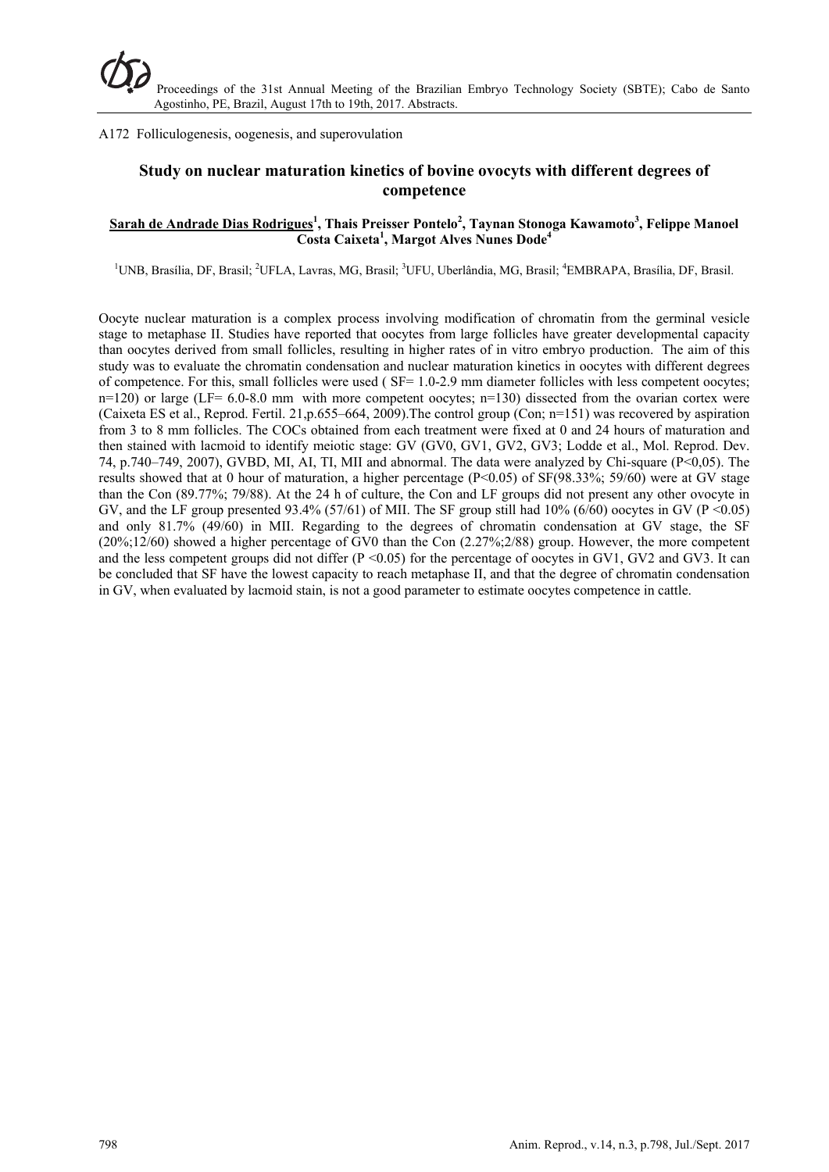### A172 Folliculogenesis, oogenesis, and superovulation

# **Study on nuclear maturation kinetics of bovine ovocyts with different degrees of competence**

### **Sarah de Andrade Dias Rodrigues<sup>1</sup> , Thais Preisser Pontelo<sup>2</sup> , Taynan Stonoga Kawamoto<sup>3</sup> , Felippe Manoel Costa Caixeta1 , Margot Alves Nunes Dode4**

<sup>1</sup>UNB, Brasília, DF, Brasil; <sup>2</sup>UFLA, Lavras, MG, Brasil; <sup>3</sup>UFU, Uberlândia, MG, Brasil; <sup>4</sup>EMBRAPA, Brasília, DF, Brasil.

Oocyte nuclear maturation is a complex process involving modification of chromatin from the germinal vesicle stage to metaphase II. Studies have reported that oocytes from large follicles have greater developmental capacity than oocytes derived from small follicles, resulting in higher rates of in vitro embryo production. The aim of this study was to evaluate the chromatin condensation and nuclear maturation kinetics in oocytes with different degrees of competence. For this, small follicles were used ( SF= 1.0-2.9 mm diameter follicles with less competent oocytes;  $n=120$ ) or large (LF= 6.0-8.0 mm with more competent oocytes;  $n=130$ ) dissected from the ovarian cortex were (Caixeta ES et al., Reprod. Fertil. 21,p.655–664, 2009).The control group (Con; n=151) was recovered by aspiration from 3 to 8 mm follicles. The COCs obtained from each treatment were fixed at 0 and 24 hours of maturation and then stained with lacmoid to identify meiotic stage: GV (GV0, GV1, GV2, GV3; Lodde et al., Mol. Reprod. Dev. 74, p.740–749, 2007), GVBD, MI, AI, TI, MII and abnormal. The data were analyzed by Chi-square (P<0,05). The results showed that at 0 hour of maturation, a higher percentage (P<0.05) of SF(98.33%; 59/60) were at GV stage than the Con (89.77%; 79/88). At the 24 h of culture, the Con and LF groups did not present any other ovocyte in GV, and the LF group presented 93.4% (57/61) of MII. The SF group still had 10% (6/60) oocytes in GV (P <0.05) and only 81.7% (49/60) in MII. Regarding to the degrees of chromatin condensation at GV stage, the SF  $(20\%12/60)$  showed a higher percentage of GV0 than the Con  $(2.27\%2/88)$  group. However, the more competent and the less competent groups did not differ  $(P \le 0.05)$  for the percentage of oocytes in GV1, GV2 and GV3. It can be concluded that SF have the lowest capacity to reach metaphase II, and that the degree of chromatin condensation in GV, when evaluated by lacmoid stain, is not a good parameter to estimate oocytes competence in cattle.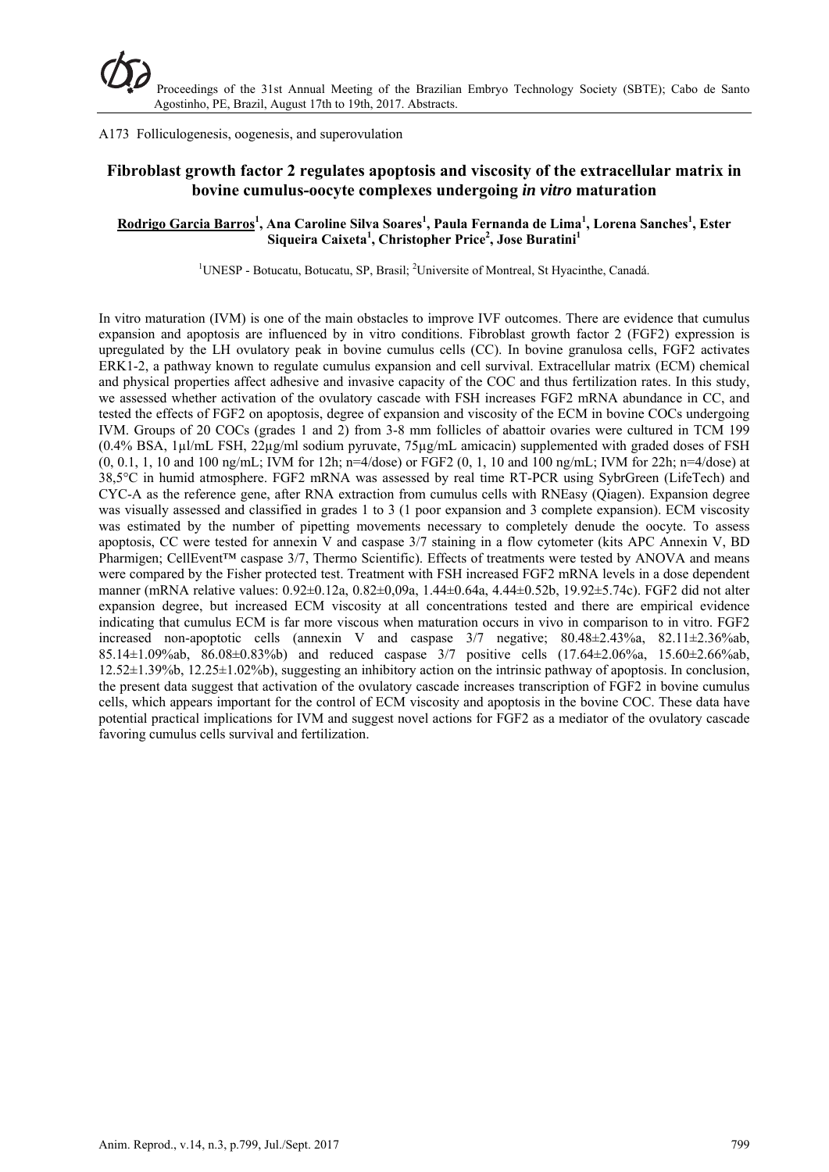A173 Folliculogenesis, oogenesis, and superovulation

# **Fibroblast growth factor 2 regulates apoptosis and viscosity of the extracellular matrix in bovine cumulus-oocyte complexes undergoing** *in vitro* **maturation**

## **Rodrigo Garcia Barros<sup>1</sup> , Ana Caroline Silva Soares1 , Paula Fernanda de Lima1 , Lorena Sanches1 , Ester**  Siqueira Caixeta<sup>1</sup>, Christopher Price<sup>2</sup>, Jose Buratini<sup>1</sup>

<sup>1</sup>UNESP - Botucatu, Botucatu, SP, Brasil; <sup>2</sup>Universite of Montreal, St Hyacinthe, Canadá.

In vitro maturation (IVM) is one of the main obstacles to improve IVF outcomes. There are evidence that cumulus expansion and apoptosis are influenced by in vitro conditions. Fibroblast growth factor 2 (FGF2) expression is upregulated by the LH ovulatory peak in bovine cumulus cells (CC). In bovine granulosa cells, FGF2 activates ERK1-2, a pathway known to regulate cumulus expansion and cell survival. Extracellular matrix (ECM) chemical and physical properties affect adhesive and invasive capacity of the COC and thus fertilization rates. In this study, we assessed whether activation of the ovulatory cascade with FSH increases FGF2 mRNA abundance in CC, and tested the effects of FGF2 on apoptosis, degree of expansion and viscosity of the ECM in bovine COCs undergoing IVM. Groups of 20 COCs (grades 1 and 2) from 3-8 mm follicles of abattoir ovaries were cultured in TCM 199 (0.4% BSA, 1µl/mL FSH, 22µg/ml sodium pyruvate, 75µg/mL amicacin) supplemented with graded doses of FSH  $(0, 0.1, 1, 10$  and 100 ng/mL; IVM for 12h; n=4/dose) or FGF2  $(0, 1, 10$  and 100 ng/mL; IVM for 22h; n=4/dose) at 38,5°C in humid atmosphere. FGF2 mRNA was assessed by real time RT-PCR using SybrGreen (LifeTech) and CYC-A as the reference gene, after RNA extraction from cumulus cells with RNEasy (Qiagen). Expansion degree was visually assessed and classified in grades 1 to 3 (1 poor expansion and 3 complete expansion). ECM viscosity was estimated by the number of pipetting movements necessary to completely denude the oocyte. To assess apoptosis, CC were tested for annexin V and caspase 3/7 staining in a flow cytometer (kits APC Annexin V, BD Pharmigen: CellEvent<sup>™</sup> caspase 3/7. Thermo Scientific). Effects of treatments were tested by ANOVA and means were compared by the Fisher protected test. Treatment with FSH increased FGF2 mRNA levels in a dose dependent manner (mRNA relative values: 0.92±0.12a, 0.82±0,09a, 1.44±0.64a, 4.44±0.52b, 19.92±5.74c). FGF2 did not alter expansion degree, but increased ECM viscosity at all concentrations tested and there are empirical evidence indicating that cumulus ECM is far more viscous when maturation occurs in vivo in comparison to in vitro. FGF2 increased non-apoptotic cells (annexin V and caspase  $3/7$  negative;  $80.48 \pm 2.43\%$ a,  $82.11 \pm 2.36\%$ ab, 85.14±1.09%ab, 86.08±0.83%b) and reduced caspase 3/7 positive cells (17.64±2.06%a, 15.60±2.66%ab, 12.52±1.39%b, 12.25±1.02%b), suggesting an inhibitory action on the intrinsic pathway of apoptosis. In conclusion, the present data suggest that activation of the ovulatory cascade increases transcription of FGF2 in bovine cumulus cells, which appears important for the control of ECM viscosity and apoptosis in the bovine COC. These data have potential practical implications for IVM and suggest novel actions for FGF2 as a mediator of the ovulatory cascade favoring cumulus cells survival and fertilization.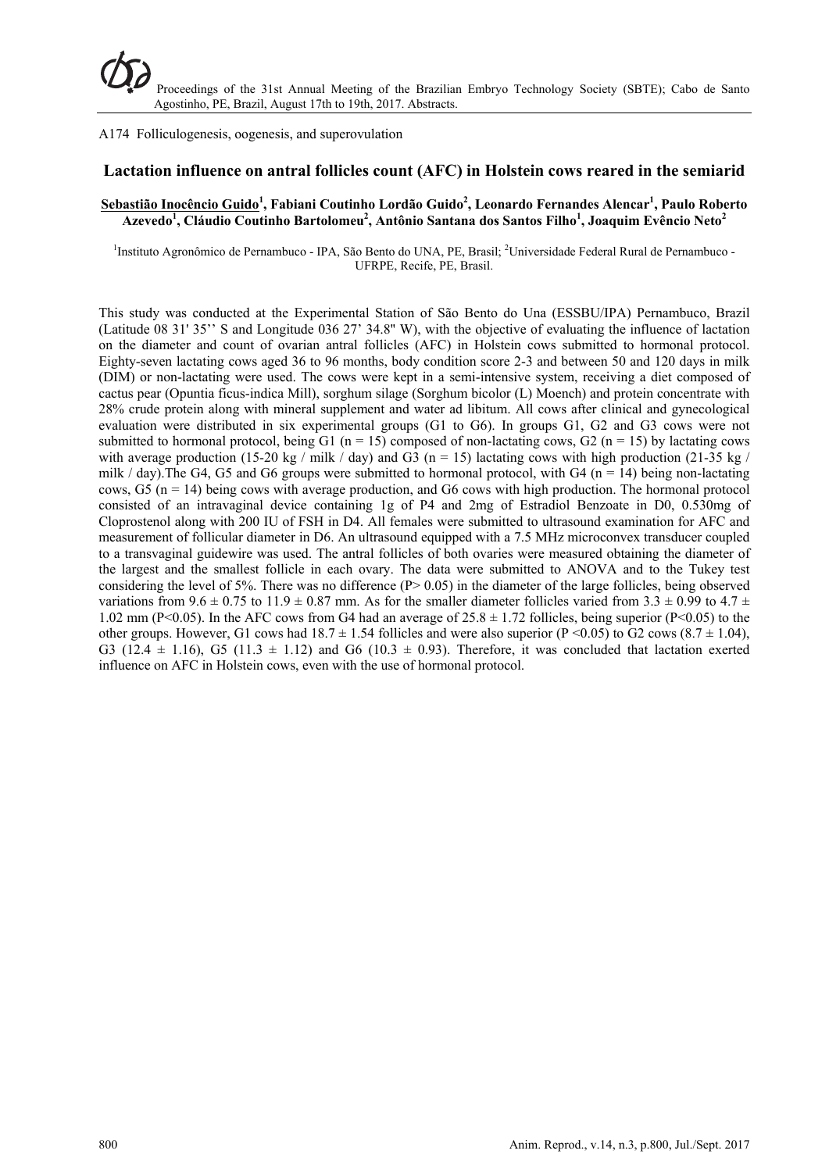A174 Folliculogenesis, oogenesis, and superovulation

## **Lactation influence on antral follicles count (AFC) in Holstein cows reared in the semiarid**

### **Sebastião Inocêncio Guido<sup>1</sup> , Fabiani Coutinho Lordão Guido<sup>2</sup> , Leonardo Fernandes Alencar1 , Paulo Roberto**   $\Lambda$ Zevedo<sup>1</sup>, Cláudio Coutinho Bartolomeu<sup>2</sup>, Antônio Santana dos Santos Filho<sup>1</sup>, Joaquim Evêncio Neto<sup>2</sup>

<sup>1</sup>Instituto Agronômico de Pernambuco - IPA, São Bento do UNA, PE, Brasil; <sup>2</sup>Universidade Federal Rural de Pernambuco -UFRPE, Recife, PE, Brasil.

This study was conducted at the Experimental Station of São Bento do Una (ESSBU/IPA) Pernambuco, Brazil (Latitude 08 31' 35'' S and Longitude 036 27' 34.8'' W), with the objective of evaluating the influence of lactation on the diameter and count of ovarian antral follicles (AFC) in Holstein cows submitted to hormonal protocol. Eighty-seven lactating cows aged 36 to 96 months, body condition score 2-3 and between 50 and 120 days in milk (DIM) or non-lactating were used. The cows were kept in a semi-intensive system, receiving a diet composed of cactus pear (Opuntia ficus-indica Mill), sorghum silage (Sorghum bicolor (L) Moench) and protein concentrate with 28% crude protein along with mineral supplement and water ad libitum. All cows after clinical and gynecological evaluation were distributed in six experimental groups (G1 to G6). In groups G1, G2 and G3 cows were not submitted to hormonal protocol, being G1 (n = 15) composed of non-lactating cows, G2 (n = 15) by lactating cows with average production (15-20 kg / milk / day) and G3 (n = 15) lactating cows with high production (21-35 kg / milk / day). The G4, G5 and G6 groups were submitted to hormonal protocol, with G4 (n = 14) being non-lactating cows,  $G5$  (n = 14) being cows with average production, and  $G6$  cows with high production. The hormonal protocol consisted of an intravaginal device containing 1g of P4 and 2mg of Estradiol Benzoate in D0, 0.530mg of Cloprostenol along with 200 IU of FSH in D4. All females were submitted to ultrasound examination for AFC and measurement of follicular diameter in D6. An ultrasound equipped with a 7.5 MHz microconvex transducer coupled to a transvaginal guidewire was used. The antral follicles of both ovaries were measured obtaining the diameter of the largest and the smallest follicle in each ovary. The data were submitted to ANOVA and to the Tukey test considering the level of 5%. There was no difference  $(P> 0.05)$  in the diameter of the large follicles, being observed variations from 9.6  $\pm$  0.75 to 11.9  $\pm$  0.87 mm. As for the smaller diameter follicles varied from 3.3  $\pm$  0.99 to 4.7  $\pm$ 1.02 mm (P<0.05). In the AFC cows from G4 had an average of  $25.8 \pm 1.72$  follicles, being superior (P<0.05) to the other groups. However, G1 cows had  $18.7 \pm 1.54$  follicles and were also superior (P <0.05) to G2 cows (8.7  $\pm$  1.04), G3 (12.4  $\pm$  1.16), G5 (11.3  $\pm$  1.12) and G6 (10.3  $\pm$  0.93). Therefore, it was concluded that lactation exerted influence on AFC in Holstein cows, even with the use of hormonal protocol.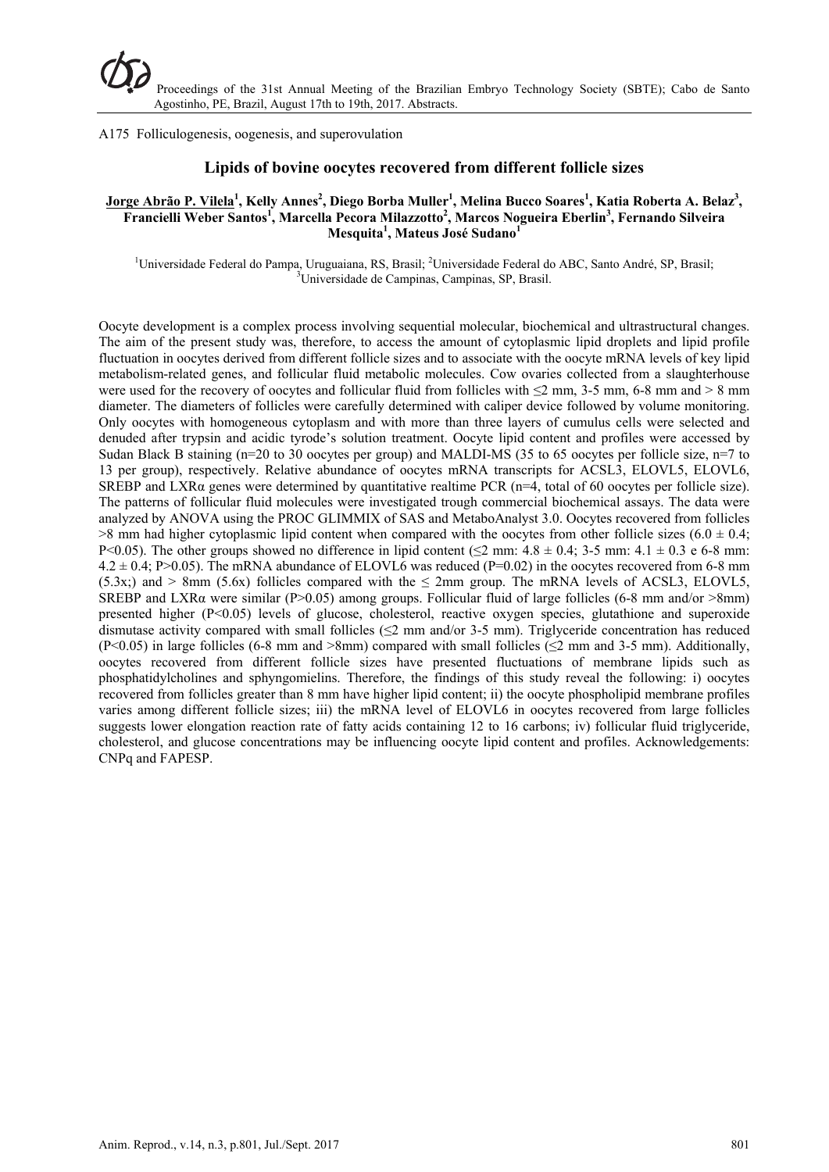#### A175 Folliculogenesis, oogenesis, and superovulation

### **Lipids of bovine oocytes recovered from different follicle sizes**

### $\frac{Jorge\ Abrão\ P.\ Vilela^{1}}{A}$ , Kelly Annes<sup>2</sup>, Diego Borba Muller<sup>1</sup>, Melina Bucco Soares<sup>1</sup>, Katia Roberta A. Belaz<sup>3</sup>, **Francielli Weber Santos<sup>1</sup>, Marcella Pecora Milazzotto<sup>2</sup>, Marcos Nogueira Eberlin<sup>3</sup>, Fernando Silveira Mesquita<sup>1</sup> , Mateus José Sudano<sup>1</sup>**

<sup>1</sup>Universidade Federal do Pampa, Uruguaiana, RS, Brasil; <sup>2</sup>Universidade Federal do ABC, Santo André, SP, Brasil; <sup>3</sup>Universidade de Compines, Compines, SP, Brasil; <sup>3</sup>Universidade de Campinas, Campinas, SP, Brasil.

Oocyte development is a complex process involving sequential molecular, biochemical and ultrastructural changes. The aim of the present study was, therefore, to access the amount of cytoplasmic lipid droplets and lipid profile fluctuation in oocytes derived from different follicle sizes and to associate with the oocyte mRNA levels of key lipid metabolism-related genes, and follicular fluid metabolic molecules. Cow ovaries collected from a slaughterhouse were used for the recovery of oocytes and follicular fluid from follicles with  $\leq 2$  mm, 3-5 mm, 6-8 mm and  $> 8$  mm diameter. The diameters of follicles were carefully determined with caliper device followed by volume monitoring. Only oocytes with homogeneous cytoplasm and with more than three layers of cumulus cells were selected and denuded after trypsin and acidic tyrode's solution treatment. Oocyte lipid content and profiles were accessed by Sudan Black B staining (n=20 to 30 oocytes per group) and MALDI-MS (35 to 65 oocytes per follicle size, n=7 to 13 per group), respectively. Relative abundance of oocytes mRNA transcripts for ACSL3, ELOVL5, ELOVL6, SREBP and LXR $\alpha$  genes were determined by quantitative realtime PCR (n=4, total of 60 oocytes per follicle size). The patterns of follicular fluid molecules were investigated trough commercial biochemical assays. The data were analyzed by ANOVA using the PROC GLIMMIX of SAS and MetaboAnalyst 3.0. Oocytes recovered from follicles  $>8$  mm had higher cytoplasmic lipid content when compared with the oocytes from other follicle sizes (6.0  $\pm$  0.4; P<0.05). The other groups showed no difference in lipid content ( $\leq$ 2 mm: 4.8  $\pm$  0.4; 3-5 mm: 4.1  $\pm$  0.3 e 6-8 mm:  $4.2 \pm 0.4$ ; P>0.05). The mRNA abundance of ELOVL6 was reduced (P=0.02) in the oocytes recovered from 6-8 mm  $(5.3x)$  and > 8mm  $(5.6x)$  follicles compared with the  $\leq$  2mm group. The mRNA levels of ACSL3, ELOVL5, SREBP and LXR $\alpha$  were similar (P>0.05) among groups. Follicular fluid of large follicles (6-8 mm and/or >8mm) presented higher (P<0.05) levels of glucose, cholesterol, reactive oxygen species, glutathione and superoxide dismutase activity compared with small follicles (≤2 mm and/or 3-5 mm). Triglyceride concentration has reduced (P<0.05) in large follicles (6-8 mm and >8mm) compared with small follicles ( $\leq$ 2 mm and 3-5 mm). Additionally, oocytes recovered from different follicle sizes have presented fluctuations of membrane lipids such as phosphatidylcholines and sphyngomielins. Therefore, the findings of this study reveal the following: i) oocytes recovered from follicles greater than 8 mm have higher lipid content; ii) the oocyte phospholipid membrane profiles varies among different follicle sizes; iii) the mRNA level of ELOVL6 in oocytes recovered from large follicles suggests lower elongation reaction rate of fatty acids containing 12 to 16 carbons; iv) follicular fluid triglyceride, cholesterol, and glucose concentrations may be influencing oocyte lipid content and profiles. Acknowledgements: CNPq and FAPESP.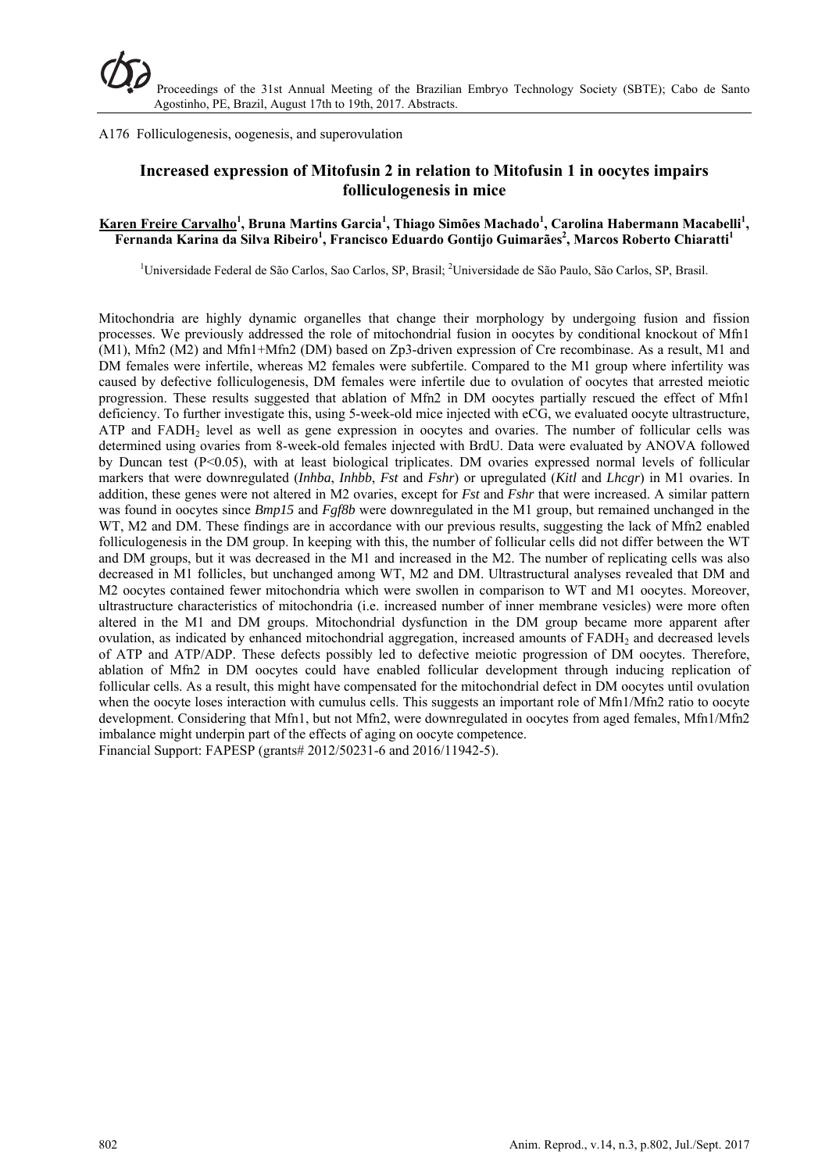A176 Folliculogenesis, oogenesis, and superovulation

# **Increased expression of Mitofusin 2 in relation to Mitofusin 1 in oocytes impairs folliculogenesis in mice**

## **Karen Freire Carvalho<sup>1</sup> , Bruna Martins Garcia1 , Thiago Simões Machado<sup>1</sup> , Carolina Habermann Macabelli<sup>1</sup> ,**  Fernanda Karina da Silva Ribeiro<sup>1</sup>, Francisco Eduardo Gontijo Guimarães<sup>2</sup>, Marcos Roberto Chiaratti<sup>1</sup>

<sup>1</sup>Universidade Federal de São Carlos, Sao Carlos, SP, Brasil; <sup>2</sup>Universidade de São Paulo, São Carlos, SP, Brasil.

Mitochondria are highly dynamic organelles that change their morphology by undergoing fusion and fission processes. We previously addressed the role of mitochondrial fusion in oocytes by conditional knockout of Mfn1 (M1), Mfn2 (M2) and Mfn1+Mfn2 (DM) based on Zp3-driven expression of Cre recombinase. As a result, M1 and DM females were infertile, whereas M2 females were subfertile. Compared to the M1 group where infertility was caused by defective folliculogenesis, DM females were infertile due to ovulation of oocytes that arrested meiotic progression. These results suggested that ablation of Mfn2 in DM oocytes partially rescued the effect of Mfn1 deficiency. To further investigate this, using 5-week-old mice injected with eCG, we evaluated oocyte ultrastructure, ATP and FADH2 level as well as gene expression in oocytes and ovaries. The number of follicular cells was determined using ovaries from 8-week-old females injected with BrdU. Data were evaluated by ANOVA followed by Duncan test  $(P<0.05)$ , with at least biological triplicates. DM ovaries expressed normal levels of follicular markers that were downregulated (*Inhba*, *Inhbb*, *Fst* and *Fshr*) or upregulated (*Kitl* and *Lhcgr*) in M1 ovaries. In addition, these genes were not altered in M2 ovaries, except for *Fst* and *Fshr* that were increased. A similar pattern was found in oocytes since *Bmp15* and *Fgf8b* were downregulated in the M1 group, but remained unchanged in the WT, M2 and DM. These findings are in accordance with our previous results, suggesting the lack of Mfn2 enabled folliculogenesis in the DM group. In keeping with this, the number of follicular cells did not differ between the WT and DM groups, but it was decreased in the M1 and increased in the M2. The number of replicating cells was also decreased in M1 follicles, but unchanged among WT, M2 and DM. Ultrastructural analyses revealed that DM and M2 oocytes contained fewer mitochondria which were swollen in comparison to WT and M1 oocytes. Moreover, ultrastructure characteristics of mitochondria (i.e. increased number of inner membrane vesicles) were more often altered in the M1 and DM groups. Mitochondrial dysfunction in the DM group became more apparent after ovulation, as indicated by enhanced mitochondrial aggregation, increased amounts of FADH<sub>2</sub> and decreased levels of ATP and ATP/ADP. These defects possibly led to defective meiotic progression of DM oocytes. Therefore, ablation of Mfn2 in DM oocytes could have enabled follicular development through inducing replication of follicular cells. As a result, this might have compensated for the mitochondrial defect in DM oocytes until ovulation when the oocyte loses interaction with cumulus cells. This suggests an important role of Mfn1/Mfn2 ratio to oocyte development. Considering that Mfn1, but not Mfn2, were downregulated in oocytes from aged females, Mfn1/Mfn2 imbalance might underpin part of the effects of aging on oocyte competence. Financial Support: FAPESP (grants# 2012/50231-6 and 2016/11942-5).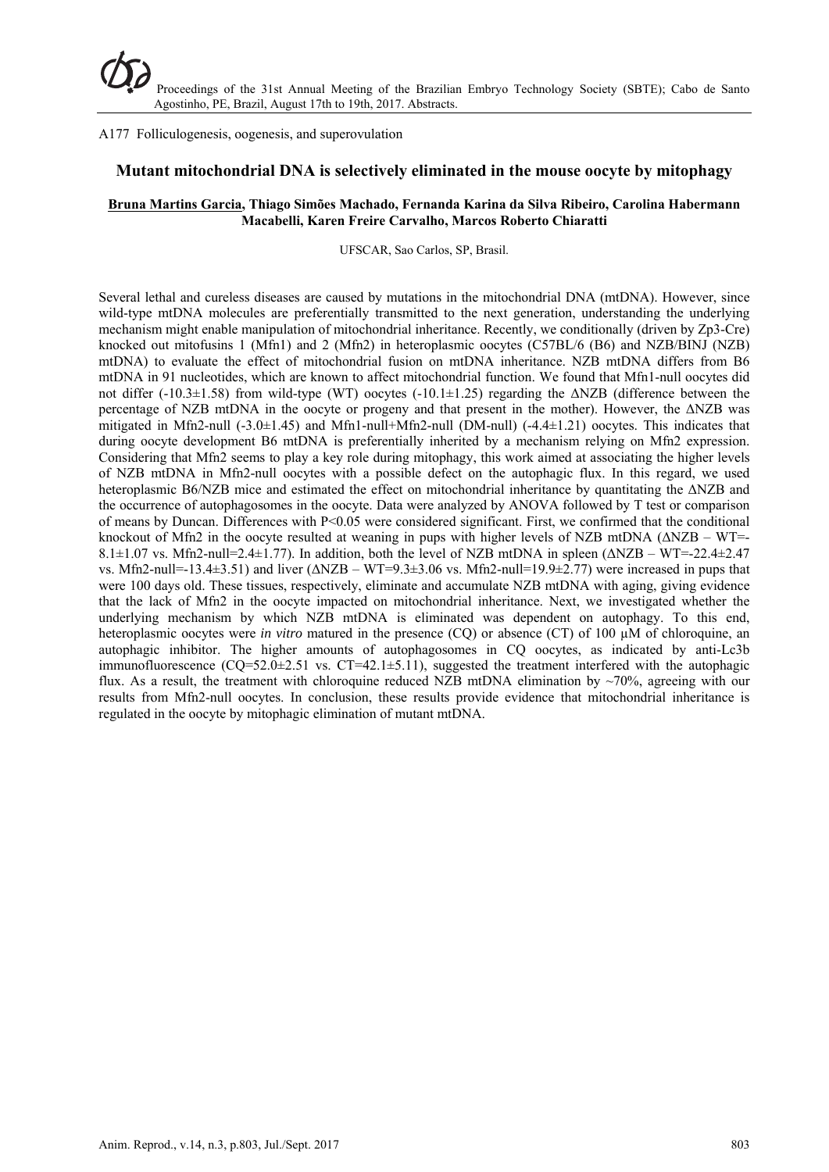#### A177 Folliculogenesis, oogenesis, and superovulation

## **Mutant mitochondrial DNA is selectively eliminated in the mouse oocyte by mitophagy**

### **Bruna Martins Garcia, Thiago Simões Machado, Fernanda Karina da Silva Ribeiro, Carolina Habermann Macabelli, Karen Freire Carvalho, Marcos Roberto Chiaratti**

UFSCAR, Sao Carlos, SP, Brasil.

Several lethal and cureless diseases are caused by mutations in the mitochondrial DNA (mtDNA). However, since wild-type mtDNA molecules are preferentially transmitted to the next generation, understanding the underlying mechanism might enable manipulation of mitochondrial inheritance. Recently, we conditionally (driven by Zp3-Cre) knocked out mitofusins 1 (Mfn1) and 2 (Mfn2) in heteroplasmic oocytes (C57BL/6 (B6) and NZB/BINJ (NZB) mtDNA) to evaluate the effect of mitochondrial fusion on mtDNA inheritance. NZB mtDNA differs from B6 mtDNA in 91 nucleotides, which are known to affect mitochondrial function. We found that Mfn1-null oocytes did not differ (-10.3±1.58) from wild-type (WT) oocytes (-10.1±1.25) regarding the  $\triangle NZB$  (difference between the percentage of NZB mtDNA in the oocyte or progeny and that present in the mother). However, the ΔNZB was mitigated in Mfn2-null (-3.0±1.45) and Mfn1-null+Mfn2-null (DM-null) (-4.4±1.21) oocytes. This indicates that during oocyte development B6 mtDNA is preferentially inherited by a mechanism relying on Mfn2 expression. Considering that Mfn2 seems to play a key role during mitophagy, this work aimed at associating the higher levels of NZB mtDNA in Mfn2-null oocytes with a possible defect on the autophagic flux. In this regard, we used heteroplasmic B6/NZB mice and estimated the effect on mitochondrial inheritance by quantitating the ΔNZB and the occurrence of autophagosomes in the oocyte. Data were analyzed by ANOVA followed by T test or comparison of means by Duncan. Differences with P<0.05 were considered significant. First, we confirmed that the conditional knockout of Mfn2 in the oocyte resulted at weaning in pups with higher levels of NZB mtDNA (ΔNZB – WT=- 8.1±1.07 vs. Mfn2-null=2.4±1.77). In addition, both the level of NZB mtDNA in spleen (ΔNZB – WT=-22.4±2.47 vs. Mfn2-null=-13.4 $\pm$ 3.51) and liver ( $\triangle$ NZB – WT=9.3 $\pm$ 3.06 vs. Mfn2-null=19.9 $\pm$ 2.77) were increased in pups that were 100 days old. These tissues, respectively, eliminate and accumulate NZB mtDNA with aging, giving evidence that the lack of Mfn2 in the oocyte impacted on mitochondrial inheritance. Next, we investigated whether the underlying mechanism by which NZB mtDNA is eliminated was dependent on autophagy. To this end, heteroplasmic oocytes were *in vitro* matured in the presence (CO) or absence (CT) of 100 µM of chloroquine, an autophagic inhibitor. The higher amounts of autophagosomes in CQ oocytes, as indicated by anti-Lc3b immunofluorescence  $(CQ=52.0\pm 2.51$  vs.  $CT=42.1\pm 5.11$ ), suggested the treatment interfered with the autophagic flux. As a result, the treatment with chloroquine reduced NZB mtDNA elimination by ~70%, agreeing with our results from Mfn2-null oocytes. In conclusion, these results provide evidence that mitochondrial inheritance is regulated in the oocyte by mitophagic elimination of mutant mtDNA.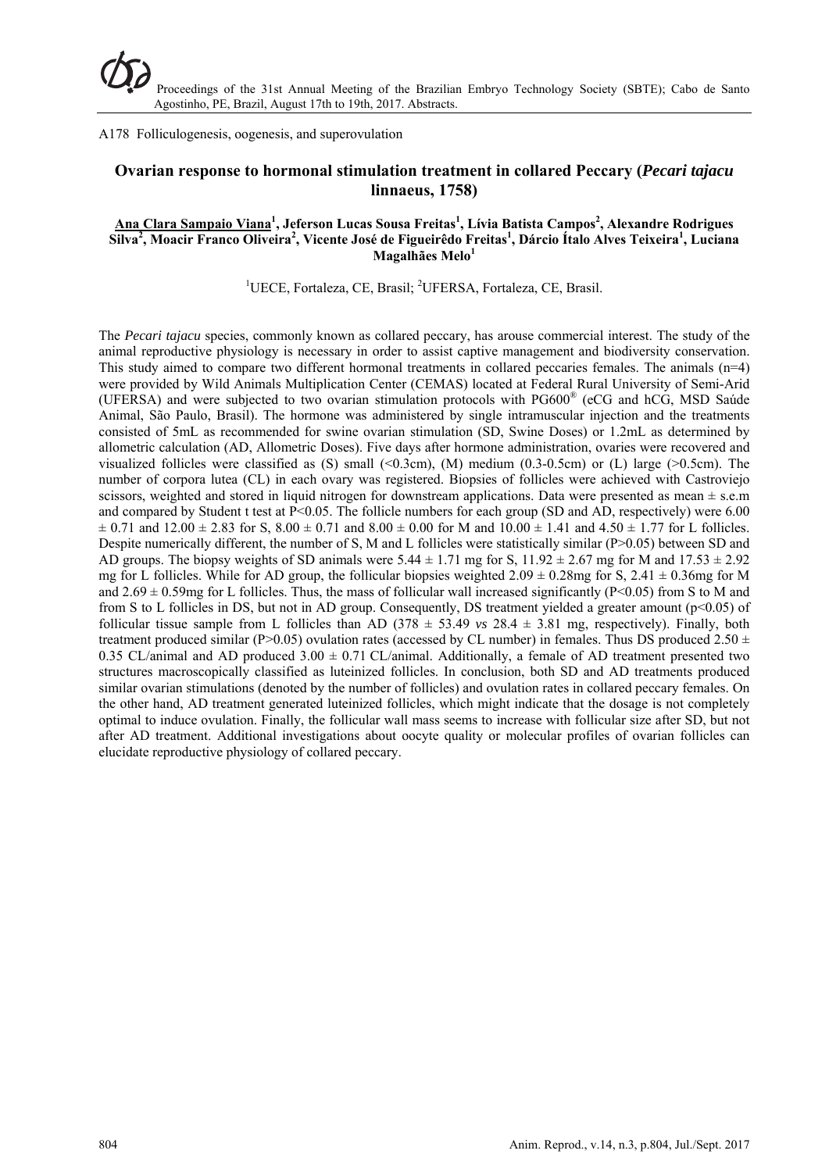A178 Folliculogenesis, oogenesis, and superovulation

# **Ovarian response to hormonal stimulation treatment in collared Peccary (***Pecari tajacu* **linnaeus, 1758)**

### **Ana Clara Sampaio Viana<sup>1</sup> , Jeferson Lucas Sousa Freitas1 , Lívia Batista Campos2 , Alexandre Rodrigues**   $\overline{\text{Silva}^2}$ , Moacir Franco Oliveira<sup>2</sup>, Vicente José de Figueirêdo Freitas<sup>1</sup>, Dárcio Ítalo Alves Teixeira<sup>1</sup>, Luciana **Magalhães Melo<sup>1</sup>**

<sup>1</sup>UECE, Fortaleza, CE, Brasil; <sup>2</sup>UFERSA, Fortaleza, CE, Brasil.

The *Pecari tajacu* species, commonly known as collared peccary, has arouse commercial interest. The study of the animal reproductive physiology is necessary in order to assist captive management and biodiversity conservation. This study aimed to compare two different hormonal treatments in collared peccaries females. The animals (n=4) were provided by Wild Animals Multiplication Center (CEMAS) located at Federal Rural University of Semi-Arid (UFERSA) and were subjected to two ovarian stimulation protocols with PG600® (eCG and hCG, MSD Saúde Animal, São Paulo, Brasil). The hormone was administered by single intramuscular injection and the treatments consisted of 5mL as recommended for swine ovarian stimulation (SD, Swine Doses) or 1.2mL as determined by allometric calculation (AD, Allometric Doses). Five days after hormone administration, ovaries were recovered and visualized follicles were classified as  $(S)$  small  $( $0.3$ cm),  $(M)$  medium  $(0.3-0.5cm)$  or  $(L)$  large  $(>0.5cm)$ . The$ number of corpora lutea (CL) in each ovary was registered. Biopsies of follicles were achieved with Castroviejo scissors, weighted and stored in liquid nitrogen for downstream applications. Data were presented as mean  $\pm$  s.e.m and compared by Student t test at P<0.05. The follicle numbers for each group (SD and AD, respectively) were 6.00  $\pm$  0.71 and 12.00  $\pm$  2.83 for S, 8.00  $\pm$  0.71 and 8.00  $\pm$  0.00 for M and 10.00  $\pm$  1.41 and 4.50  $\pm$  1.77 for L follicles. Despite numerically different, the number of S, M and L follicles were statistically similar (P>0.05) between SD and AD groups. The biopsy weights of SD animals were  $5.44 \pm 1.71$  mg for S,  $11.92 \pm 2.67$  mg for M and  $17.53 \pm 2.92$ mg for L follicles. While for AD group, the follicular biopsies weighted  $2.09 \pm 0.28$ mg for S,  $2.41 \pm 0.36$ mg for M and  $2.69 \pm 0.59$  for L follicles. Thus, the mass of follicular wall increased significantly (P<0.05) from S to M and from S to L follicles in DS, but not in AD group. Consequently, DS treatment yielded a greater amount (p<0.05) of follicular tissue sample from L follicles than AD (378  $\pm$  53.49 *vs* 28.4  $\pm$  3.81 mg, respectively). Finally, both treatment produced similar (P>0.05) ovulation rates (accessed by CL number) in females. Thus DS produced 2.50  $\pm$ 0.35 CL/animal and AD produced  $3.00 \pm 0.71$  CL/animal. Additionally, a female of AD treatment presented two structures macroscopically classified as luteinized follicles. In conclusion, both SD and AD treatments produced similar ovarian stimulations (denoted by the number of follicles) and ovulation rates in collared peccary females. On the other hand, AD treatment generated luteinized follicles, which might indicate that the dosage is not completely optimal to induce ovulation. Finally, the follicular wall mass seems to increase with follicular size after SD, but not after AD treatment. Additional investigations about oocyte quality or molecular profiles of ovarian follicles can elucidate reproductive physiology of collared peccary.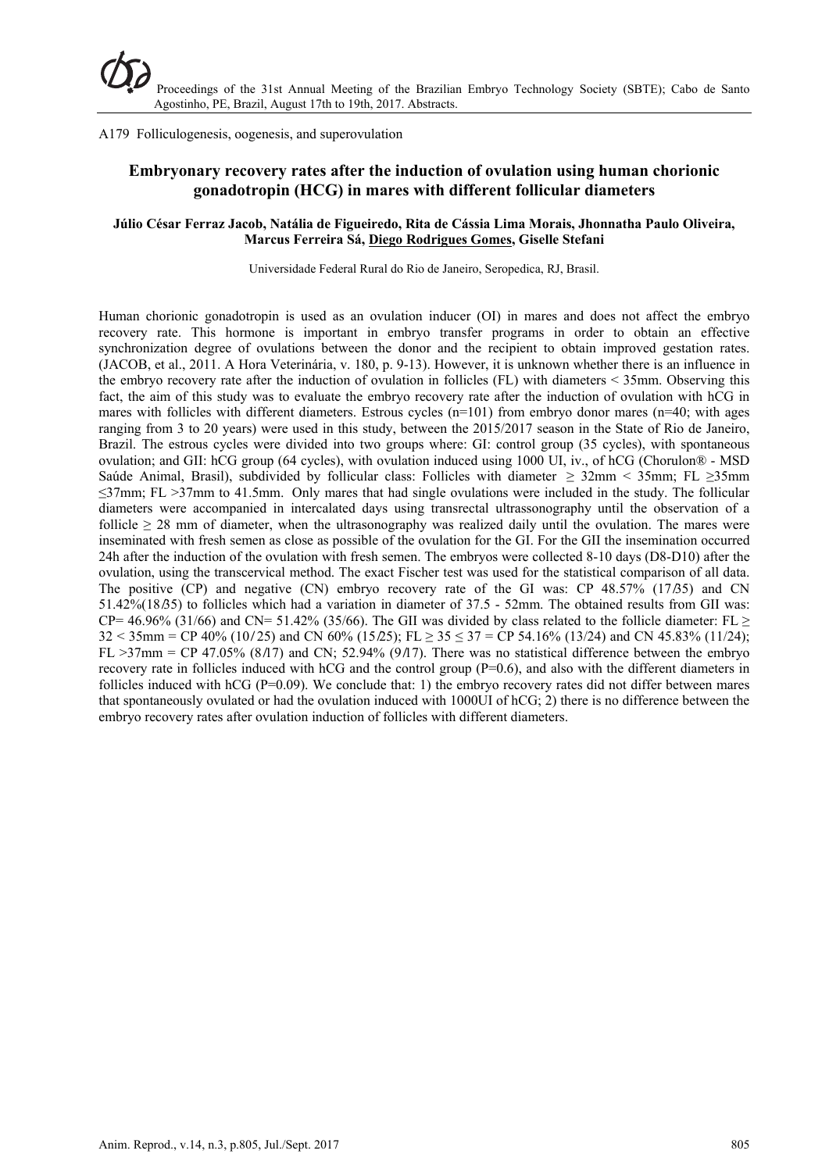A179 Folliculogenesis, oogenesis, and superovulation

# **Embryonary recovery rates after the induction of ovulation using human chorionic gonadotropin (HCG) in mares with different follicular diameters**

### **Júlio César Ferraz Jacob, Natália de Figueiredo, Rita de Cássia Lima Morais, Jhonnatha Paulo Oliveira, Marcus Ferreira Sá, Diego Rodrigues Gomes, Giselle Stefani**

Universidade Federal Rural do Rio de Janeiro, Seropedica, RJ, Brasil.

Human chorionic gonadotropin is used as an ovulation inducer (OI) in mares and does not affect the embryo recovery rate. This hormone is important in embryo transfer programs in order to obtain an effective synchronization degree of ovulations between the donor and the recipient to obtain improved gestation rates. (JACOB, et al., 2011. A Hora Veterinária, v. 180, p. 9-13). However, it is unknown whether there is an influence in the embryo recovery rate after the induction of ovulation in follicles (FL) with diameters < 35mm. Observing this fact, the aim of this study was to evaluate the embryo recovery rate after the induction of ovulation with hCG in mares with follicles with different diameters. Estrous cycles (n=101) from embryo donor mares (n=40; with ages ranging from 3 to 20 years) were used in this study, between the 2015/2017 season in the State of Rio de Janeiro, Brazil. The estrous cycles were divided into two groups where: GI: control group (35 cycles), with spontaneous ovulation; and GII: hCG group (64 cycles), with ovulation induced using 1000 UI, iv., of hCG (Chorulon® - MSD Saúde Animal, Brasil), subdivided by follicular class: Follicles with diameter  $\geq$  32mm < 35mm; FL  $\geq$ 35mm ≤37mm; FL >37mm to 41.5mm. Only mares that had single ovulations were included in the study. The follicular diameters were accompanied in intercalated days using transrectal ultrassonography until the observation of a follicle ≥ 28 mm of diameter, when the ultrasonography was realized daily until the ovulation. The mares were inseminated with fresh semen as close as possible of the ovulation for the GI. For the GII the insemination occurred 24h after the induction of the ovulation with fresh semen. The embryos were collected 8-10 days (D8-D10) after the ovulation, using the transcervical method. The exact Fischer test was used for the statistical comparison of all data. The positive  $(CP)$  and negative  $(CN)$  embryo recovery rate of the GI was:  $CP$  48.57% (17.65) and CN 51.42%(18.65) to follicles which had a variation in diameter of  $37.5 - 52$  mm. The obtained results from GII was: CP= 46.96% (31/66) and CN= 51.42% (35/66). The GII was divided by class related to the follicle diameter: FL  $\geq$  $32 < 35$ mm = CP 40% (10/25) and CN 60% (15/25); FL >  $35 < 37$  = CP 54.16% (13/24) and CN 45.83% (11/24); FL  $>37$ mm = CP 47.05% (8/17) and CN; 52.94% (9/17). There was no statistical difference between the embryo recovery rate in follicles induced with hCG and the control group  $(P=0.6)$ , and also with the different diameters in follicles induced with hCG ( $P=0.09$ ). We conclude that: 1) the embryo recovery rates did not differ between mares that spontaneously ovulated or had the ovulation induced with 1000UI of hCG; 2) there is no difference between the embryo recovery rates after ovulation induction of follicles with different diameters.